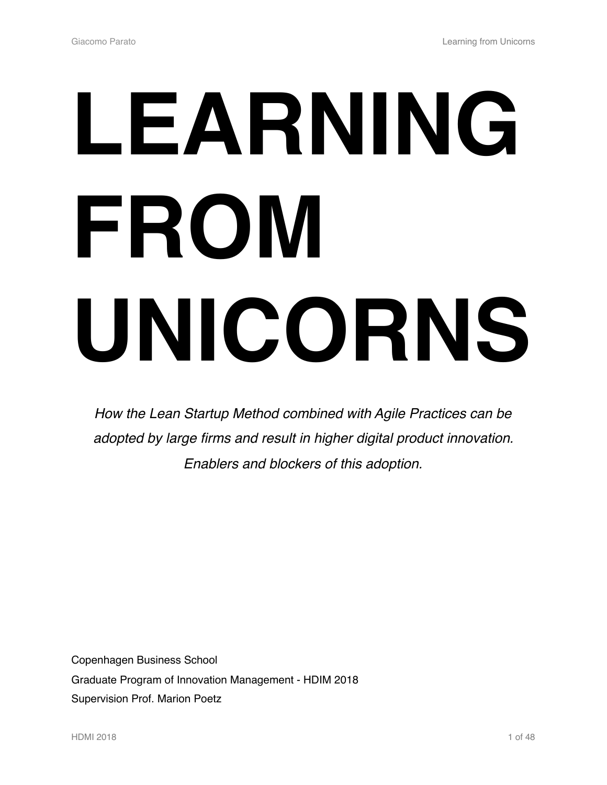# **LEARNING FROM UNICORNS**

*How the Lean Startup Method combined with Agile Practices can be adopted by large firms and result in higher digital product innovation. Enablers and blockers of this adoption.* 

Copenhagen Business School Graduate Program of Innovation Management - HDIM 2018 Supervision Prof. Marion Poetz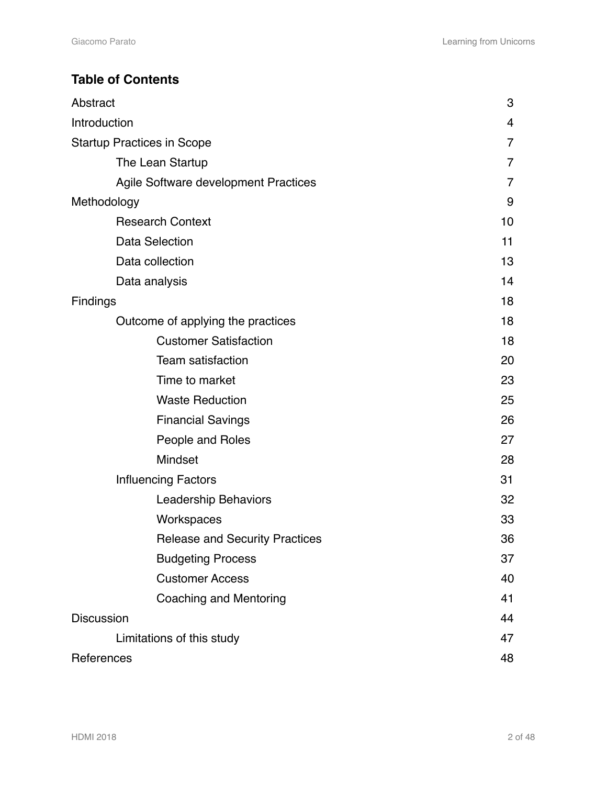# **Table of Contents**

| Abstract                                    | 3              |
|---------------------------------------------|----------------|
| Introduction                                | $\overline{4}$ |
| <b>Startup Practices in Scope</b>           | 7              |
| The Lean Startup                            | 7              |
| <b>Agile Software development Practices</b> | 7              |
| Methodology                                 | 9              |
| <b>Research Context</b>                     | 10             |
| <b>Data Selection</b>                       | 11             |
| Data collection                             | 13             |
| Data analysis                               | 14             |
| <b>Findings</b>                             | 18             |
| Outcome of applying the practices           | 18             |
| <b>Customer Satisfaction</b>                | 18             |
| <b>Team satisfaction</b>                    | 20             |
| Time to market                              | 23             |
| <b>Waste Reduction</b>                      | 25             |
| <b>Financial Savings</b>                    | 26             |
| People and Roles                            | 27             |
| Mindset                                     | 28             |
| <b>Influencing Factors</b>                  | 31             |
| <b>Leadership Behaviors</b>                 | 32             |
| Workspaces                                  | 33             |
| <b>Release and Security Practices</b>       | 36             |
| <b>Budgeting Process</b>                    | 37             |
| <b>Customer Access</b>                      | 40             |
| <b>Coaching and Mentoring</b>               | 41             |
| <b>Discussion</b>                           | 44             |
| Limitations of this study                   | 47             |
| References                                  | 48             |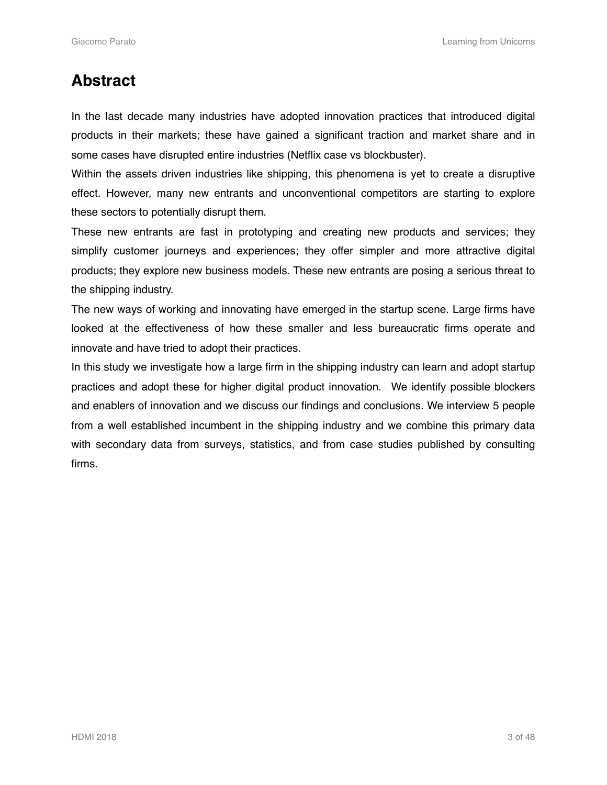# <span id="page-2-0"></span>**Abstract**

In the last decade many industries have adopted innovation practices that introduced digital products in their markets; these have gained a significant traction and market share and in some cases have disrupted entire industries (Netflix case vs blockbuster).

Within the assets driven industries like shipping, this phenomena is yet to create a disruptive effect. However, many new entrants and unconventional competitors are starting to explore these sectors to potentially disrupt them.

These new entrants are fast in prototyping and creating new products and services; they simplify customer journeys and experiences; they offer simpler and more attractive digital products; they explore new business models. These new entrants are posing a serious threat to the shipping industry.

The new ways of working and innovating have emerged in the startup scene. Large firms have looked at the effectiveness of how these smaller and less bureaucratic firms operate and innovate and have tried to adopt their practices.

In this study we investigate how a large firm in the shipping industry can learn and adopt startup practices and adopt these for higher digital product innovation. We identify possible blockers and enablers of innovation and we discuss our findings and conclusions. We interview 5 people from a well established incumbent in the shipping industry and we combine this primary data with secondary data from surveys, statistics, and from case studies published by consulting firms.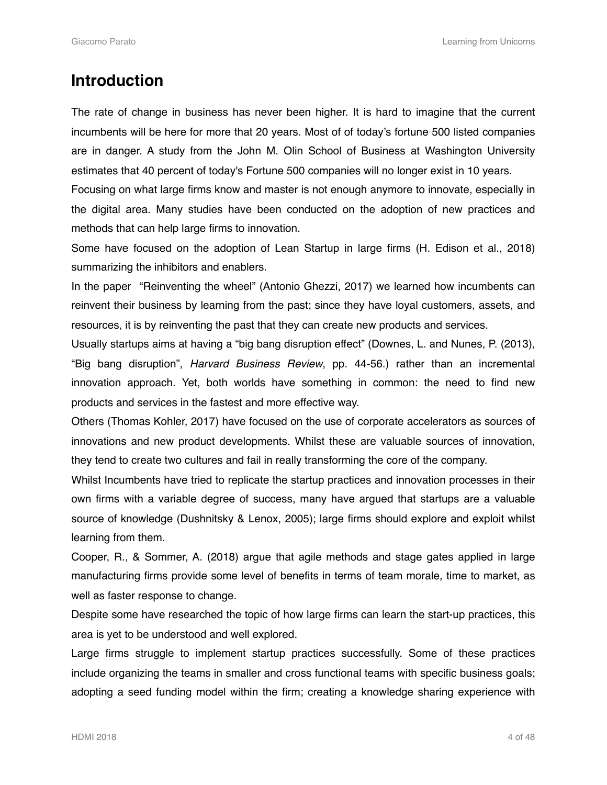# <span id="page-3-0"></span>**Introduction**

The rate of change in business has never been higher. It is hard to imagine that the current incumbents will be here for more that 20 years. Most of of today's fortune 500 listed companies are in danger. A study from the John M. Olin School of Business at Washington University estimates that 40 percent of today's Fortune 500 companies will no longer exist in 10 years.

Focusing on what large firms know and master is not enough anymore to innovate, especially in the digital area. Many studies have been conducted on the adoption of new practices and methods that can help large firms to innovation.

Some have focused on the adoption of Lean Startup in large firms (H. Edison et al., 2018) summarizing the inhibitors and enablers.

In the paper "Reinventing the wheel" (Antonio Ghezzi, 2017) we learned how incumbents can reinvent their business by learning from the past; since they have loyal customers, assets, and resources, it is by reinventing the past that they can create new products and services.

Usually startups aims at having a "big bang disruption effect" (Downes, L. and Nunes, P. (2013), "Big bang disruption", *Harvard Business Review*, pp. 44-56.) rather than an incremental innovation approach. Yet, both worlds have something in common: the need to find new products and services in the fastest and more effective way.

Others (Thomas Kohler, 2017) have focused on the use of corporate accelerators as sources of innovations and new product developments. Whilst these are valuable sources of innovation, they tend to create two cultures and fail in really transforming the core of the company.

Whilst Incumbents have tried to replicate the startup practices and innovation processes in their own firms with a variable degree of success, many have argued that startups are a valuable source of knowledge (Dushnitsky & Lenox, 2005); large firms should explore and exploit whilst learning from them.

Cooper, R., & Sommer, A. (2018) argue that agile methods and stage gates applied in large manufacturing firms provide some level of benefits in terms of team morale, time to market, as well as faster response to change.

Despite some have researched the topic of how large firms can learn the start-up practices, this area is yet to be understood and well explored.

Large firms struggle to implement startup practices successfully. Some of these practices include organizing the teams in smaller and cross functional teams with specific business goals; adopting a seed funding model within the firm; creating a knowledge sharing experience with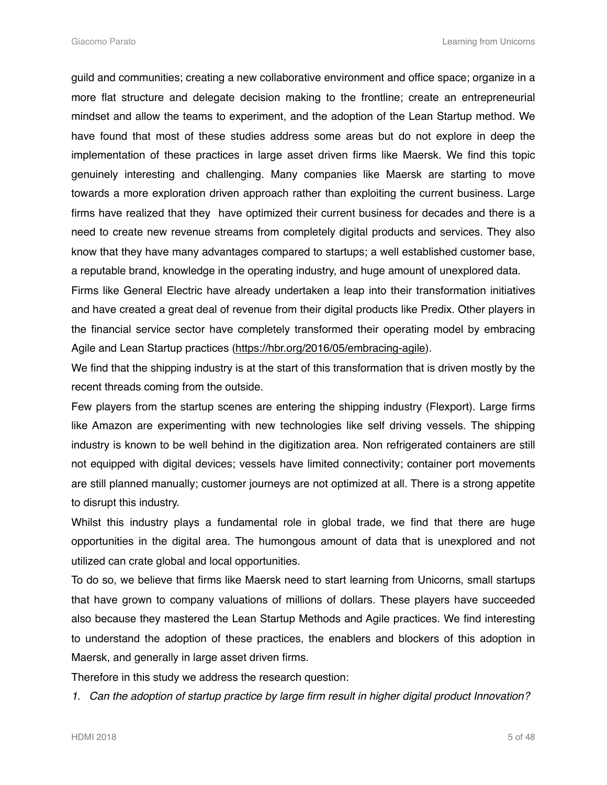guild and communities; creating a new collaborative environment and office space; organize in a more flat structure and delegate decision making to the frontline; create an entrepreneurial mindset and allow the teams to experiment, and the adoption of the Lean Startup method. We have found that most of these studies address some areas but do not explore in deep the implementation of these practices in large asset driven firms like Maersk. We find this topic genuinely interesting and challenging. Many companies like Maersk are starting to move towards a more exploration driven approach rather than exploiting the current business. Large firms have realized that they have optimized their current business for decades and there is a need to create new revenue streams from completely digital products and services. They also know that they have many advantages compared to startups; a well established customer base, a reputable brand, knowledge in the operating industry, and huge amount of unexplored data.

Firms like General Electric have already undertaken a leap into their transformation initiatives and have created a great deal of revenue from their digital products like Predix. Other players in the financial service sector have completely transformed their operating model by embracing Agile and Lean Startup practices (<https://hbr.org/2016/05/embracing-agile>).

We find that the shipping industry is at the start of this transformation that is driven mostly by the recent threads coming from the outside.

Few players from the startup scenes are entering the shipping industry (Flexport). Large firms like Amazon are experimenting with new technologies like self driving vessels. The shipping industry is known to be well behind in the digitization area. Non refrigerated containers are still not equipped with digital devices; vessels have limited connectivity; container port movements are still planned manually; customer journeys are not optimized at all. There is a strong appetite to disrupt this industry.

Whilst this industry plays a fundamental role in global trade, we find that there are huge opportunities in the digital area. The humongous amount of data that is unexplored and not utilized can crate global and local opportunities.

To do so, we believe that firms like Maersk need to start learning from Unicorns, small startups that have grown to company valuations of millions of dollars. These players have succeeded also because they mastered the Lean Startup Methods and Agile practices. We find interesting to understand the adoption of these practices, the enablers and blockers of this adoption in Maersk, and generally in large asset driven firms.

Therefore in this study we address the research question:

*1. Can the adoption of startup practice by large firm result in higher digital product Innovation?*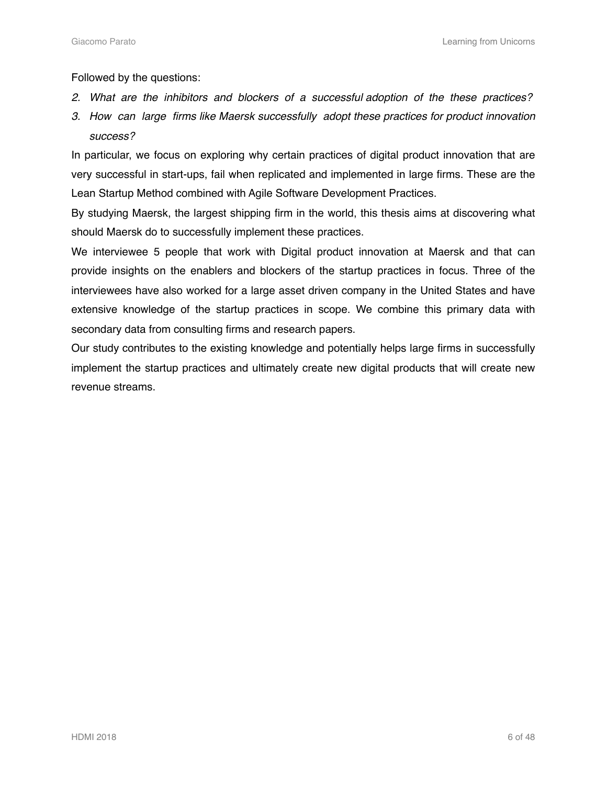Followed by the questions:

- *2. What are the inhibitors and blockers of a successful adoption of the these practices?*
- *3. How can large firms like Maersk successfully adopt these practices for product innovation success?*

In particular, we focus on exploring why certain practices of digital product innovation that are very successful in start-ups, fail when replicated and implemented in large firms. These are the Lean Startup Method combined with Agile Software Development Practices.

By studying Maersk, the largest shipping firm in the world, this thesis aims at discovering what should Maersk do to successfully implement these practices.

We interviewee 5 people that work with Digital product innovation at Maersk and that can provide insights on the enablers and blockers of the startup practices in focus. Three of the interviewees have also worked for a large asset driven company in the United States and have extensive knowledge of the startup practices in scope. We combine this primary data with secondary data from consulting firms and research papers.

Our study contributes to the existing knowledge and potentially helps large firms in successfully implement the startup practices and ultimately create new digital products that will create new revenue streams.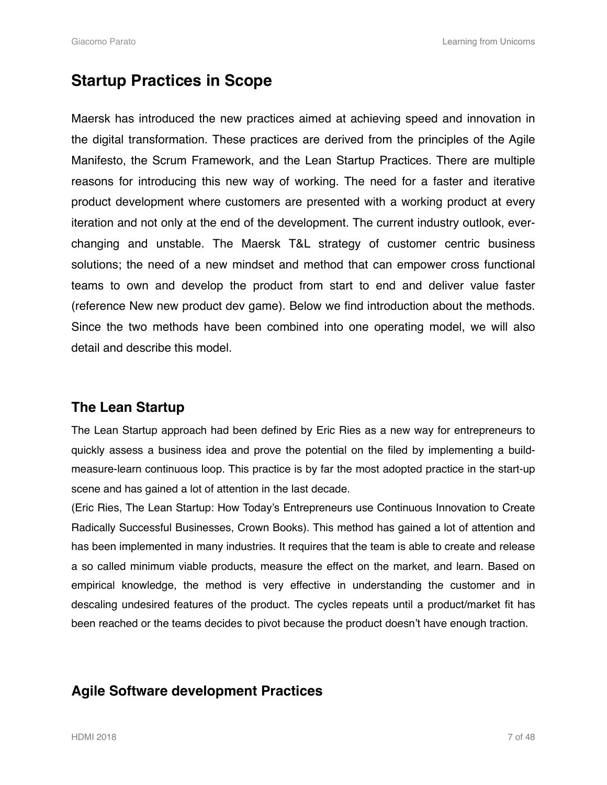# <span id="page-6-0"></span>**Startup Practices in Scope**

Maersk has introduced the new practices aimed at achieving speed and innovation in the digital transformation. These practices are derived from the principles of the Agile Manifesto, the Scrum Framework, and the Lean Startup Practices. There are multiple reasons for introducing this new way of working. The need for a faster and iterative product development where customers are presented with a working product at every iteration and not only at the end of the development. The current industry outlook, everchanging and unstable. The Maersk T&L strategy of customer centric business solutions; the need of a new mindset and method that can empower cross functional teams to own and develop the product from start to end and deliver value faster (reference New new product dev game). Below we find introduction about the methods. Since the two methods have been combined into one operating model, we will also detail and describe this model.

## <span id="page-6-1"></span>**The Lean Startup**

The Lean Startup approach had been defined by Eric Ries as a new way for entrepreneurs to quickly assess a business idea and prove the potential on the filed by implementing a buildmeasure-learn continuous loop. This practice is by far the most adopted practice in the start-up scene and has gained a lot of attention in the last decade.

(Eric Ries, The Lean Startup: How Today's Entrepreneurs use Continuous Innovation to Create Radically Successful Businesses, Crown Books). This method has gained a lot of attention and has been implemented in many industries. It requires that the team is able to create and release a so called minimum viable products, measure the effect on the market, and learn. Based on empirical knowledge, the method is very effective in understanding the customer and in descaling undesired features of the product. The cycles repeats until a product/market fit has been reached or the teams decides to pivot because the product doesn't have enough traction.

## <span id="page-6-2"></span>**Agile Software development Practices**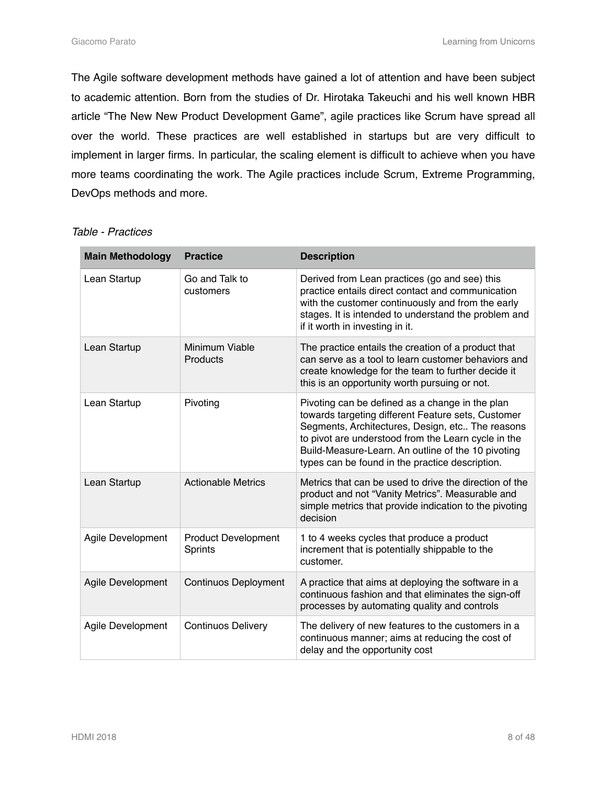The Agile software development methods have gained a lot of attention and have been subject to academic attention. Born from the studies of Dr. Hirotaka Takeuchi and his well known HBR article "The New New Product Development Game", agile practices like Scrum have spread all over the world. These practices are well established in startups but are very difficult to implement in larger firms. In particular, the scaling element is difficult to achieve when you have more teams coordinating the work. The Agile practices include Scrum, Extreme Programming, DevOps methods and more.

#### *Table - Practices*

| <b>Main Methodology</b> | <b>Practice</b>                              | <b>Description</b>                                                                                                                                                                                                                                                                                                        |
|-------------------------|----------------------------------------------|---------------------------------------------------------------------------------------------------------------------------------------------------------------------------------------------------------------------------------------------------------------------------------------------------------------------------|
| Lean Startup            | Go and Talk to<br>customers                  | Derived from Lean practices (go and see) this<br>practice entails direct contact and communication<br>with the customer continuously and from the early<br>stages. It is intended to understand the problem and<br>if it worth in investing in it.                                                                        |
| Lean Startup            | Minimum Viable<br>Products                   | The practice entails the creation of a product that<br>can serve as a tool to learn customer behaviors and<br>create knowledge for the team to further decide it<br>this is an opportunity worth pursuing or not.                                                                                                         |
| Lean Startup            | Pivoting                                     | Pivoting can be defined as a change in the plan<br>towards targeting different Feature sets, Customer<br>Segments, Architectures, Design, etc The reasons<br>to pivot are understood from the Learn cycle in the<br>Build-Measure-Learn. An outline of the 10 pivoting<br>types can be found in the practice description. |
| Lean Startup            | <b>Actionable Metrics</b>                    | Metrics that can be used to drive the direction of the<br>product and not "Vanity Metrics". Measurable and<br>simple metrics that provide indication to the pivoting<br>decision                                                                                                                                          |
| Agile Development       | <b>Product Development</b><br><b>Sprints</b> | 1 to 4 weeks cycles that produce a product<br>increment that is potentially shippable to the<br>customer.                                                                                                                                                                                                                 |
| Agile Development       | <b>Continuos Deployment</b>                  | A practice that aims at deploying the software in a<br>continuous fashion and that eliminates the sign-off<br>processes by automating quality and controls                                                                                                                                                                |
| Agile Development       | <b>Continuos Delivery</b>                    | The delivery of new features to the customers in a<br>continuous manner; aims at reducing the cost of<br>delay and the opportunity cost                                                                                                                                                                                   |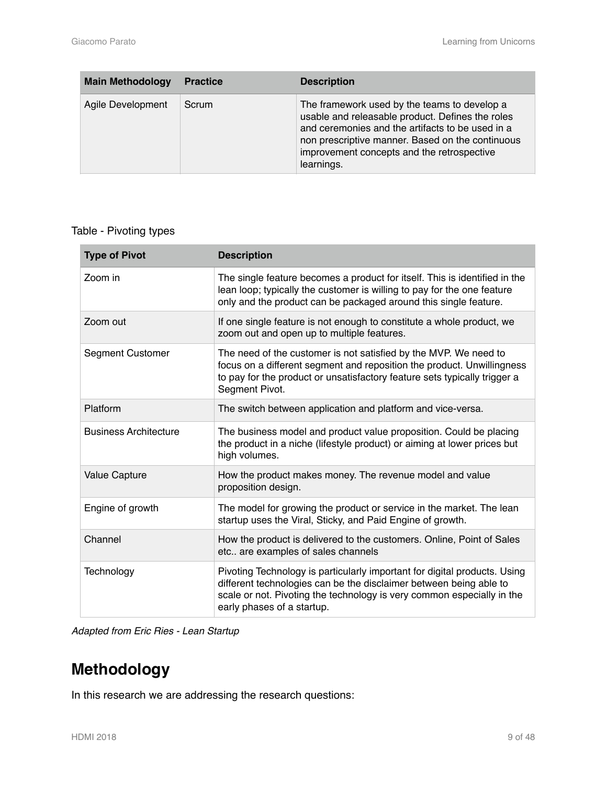| <b>Main Methodology</b> | <b>Practice</b> | <b>Description</b>                                                                                                                                                                                                                                                   |
|-------------------------|-----------------|----------------------------------------------------------------------------------------------------------------------------------------------------------------------------------------------------------------------------------------------------------------------|
| Agile Development       | Scrum           | The framework used by the teams to develop a<br>usable and releasable product. Defines the roles<br>and ceremonies and the artifacts to be used in a<br>non prescriptive manner. Based on the continuous<br>improvement concepts and the retrospective<br>learnings. |

#### Table - Pivoting types

| <b>Type of Pivot</b>         | <b>Description</b>                                                                                                                                                                                                                                      |
|------------------------------|---------------------------------------------------------------------------------------------------------------------------------------------------------------------------------------------------------------------------------------------------------|
| Zoom in                      | The single feature becomes a product for itself. This is identified in the<br>lean loop; typically the customer is willing to pay for the one feature<br>only and the product can be packaged around this single feature.                               |
| Zoom out                     | If one single feature is not enough to constitute a whole product, we<br>zoom out and open up to multiple features.                                                                                                                                     |
| <b>Segment Customer</b>      | The need of the customer is not satisfied by the MVP. We need to<br>focus on a different segment and reposition the product. Unwillingness<br>to pay for the product or unsatisfactory feature sets typically trigger a<br>Segment Pivot.               |
| Platform                     | The switch between application and platform and vice-versa.                                                                                                                                                                                             |
| <b>Business Architecture</b> | The business model and product value proposition. Could be placing<br>the product in a niche (lifestyle product) or aiming at lower prices but<br>high volumes.                                                                                         |
| <b>Value Capture</b>         | How the product makes money. The revenue model and value<br>proposition design.                                                                                                                                                                         |
| Engine of growth             | The model for growing the product or service in the market. The lean<br>startup uses the Viral, Sticky, and Paid Engine of growth.                                                                                                                      |
| Channel                      | How the product is delivered to the customers. Online, Point of Sales<br>etc are examples of sales channels                                                                                                                                             |
| Technology                   | Pivoting Technology is particularly important for digital products. Using<br>different technologies can be the disclaimer between being able to<br>scale or not. Pivoting the technology is very common especially in the<br>early phases of a startup. |

*Adapted from Eric Ries - Lean Startup*

# <span id="page-8-0"></span>**Methodology**

In this research we are addressing the research questions: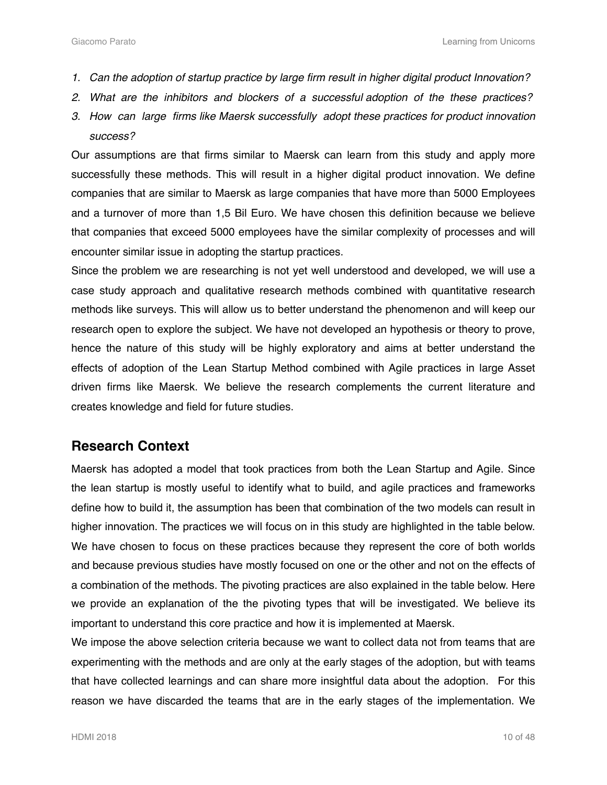- *1. Can the adoption of startup practice by large firm result in higher digital product Innovation?*
- *2. What are the inhibitors and blockers of a successful adoption of the these practices?*
- *3. How can large firms like Maersk successfully adopt these practices for product innovation success?*

Our assumptions are that firms similar to Maersk can learn from this study and apply more successfully these methods. This will result in a higher digital product innovation. We define companies that are similar to Maersk as large companies that have more than 5000 Employees and a turnover of more than 1,5 Bil Euro. We have chosen this definition because we believe that companies that exceed 5000 employees have the similar complexity of processes and will encounter similar issue in adopting the startup practices.

Since the problem we are researching is not yet well understood and developed, we will use a case study approach and qualitative research methods combined with quantitative research methods like surveys. This will allow us to better understand the phenomenon and will keep our research open to explore the subject. We have not developed an hypothesis or theory to prove, hence the nature of this study will be highly exploratory and aims at better understand the effects of adoption of the Lean Startup Method combined with Agile practices in large Asset driven firms like Maersk. We believe the research complements the current literature and creates knowledge and field for future studies.

## <span id="page-9-0"></span>**Research Context**

Maersk has adopted a model that took practices from both the Lean Startup and Agile. Since the lean startup is mostly useful to identify what to build, and agile practices and frameworks define how to build it, the assumption has been that combination of the two models can result in higher innovation. The practices we will focus on in this study are highlighted in the table below. We have chosen to focus on these practices because they represent the core of both worlds and because previous studies have mostly focused on one or the other and not on the effects of a combination of the methods. The pivoting practices are also explained in the table below. Here we provide an explanation of the the pivoting types that will be investigated. We believe its important to understand this core practice and how it is implemented at Maersk.

We impose the above selection criteria because we want to collect data not from teams that are experimenting with the methods and are only at the early stages of the adoption, but with teams that have collected learnings and can share more insightful data about the adoption. For this reason we have discarded the teams that are in the early stages of the implementation. We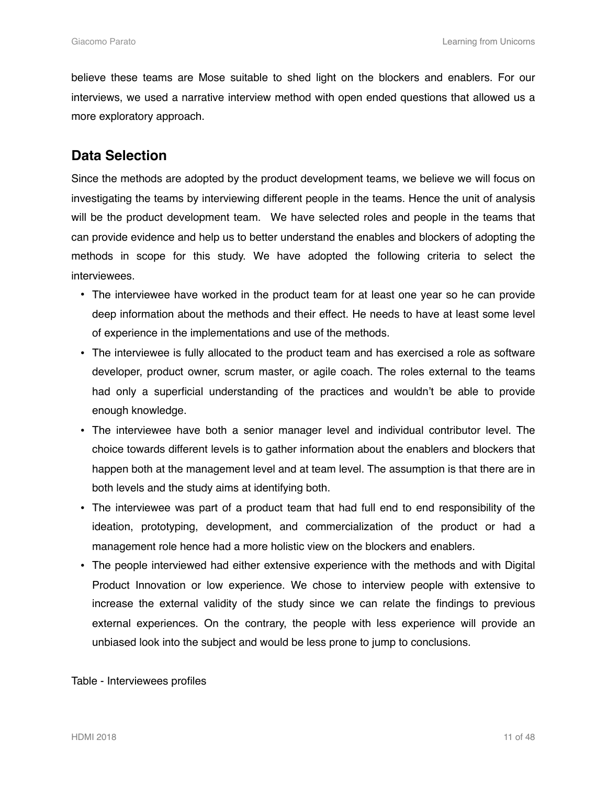believe these teams are Mose suitable to shed light on the blockers and enablers. For our interviews, we used a narrative interview method with open ended questions that allowed us a more exploratory approach.

## <span id="page-10-0"></span>**Data Selection**

Since the methods are adopted by the product development teams, we believe we will focus on investigating the teams by interviewing different people in the teams. Hence the unit of analysis will be the product development team. We have selected roles and people in the teams that can provide evidence and help us to better understand the enables and blockers of adopting the methods in scope for this study. We have adopted the following criteria to select the interviewees.

- The interviewee have worked in the product team for at least one year so he can provide deep information about the methods and their effect. He needs to have at least some level of experience in the implementations and use of the methods.
- The interviewee is fully allocated to the product team and has exercised a role as software developer, product owner, scrum master, or agile coach. The roles external to the teams had only a superficial understanding of the practices and wouldn't be able to provide enough knowledge.
- The interviewee have both a senior manager level and individual contributor level. The choice towards different levels is to gather information about the enablers and blockers that happen both at the management level and at team level. The assumption is that there are in both levels and the study aims at identifying both.
- The interviewee was part of a product team that had full end to end responsibility of the ideation, prototyping, development, and commercialization of the product or had a management role hence had a more holistic view on the blockers and enablers.
- The people interviewed had either extensive experience with the methods and with Digital Product Innovation or low experience. We chose to interview people with extensive to increase the external validity of the study since we can relate the findings to previous external experiences. On the contrary, the people with less experience will provide an unbiased look into the subject and would be less prone to jump to conclusions.

Table - Interviewees profiles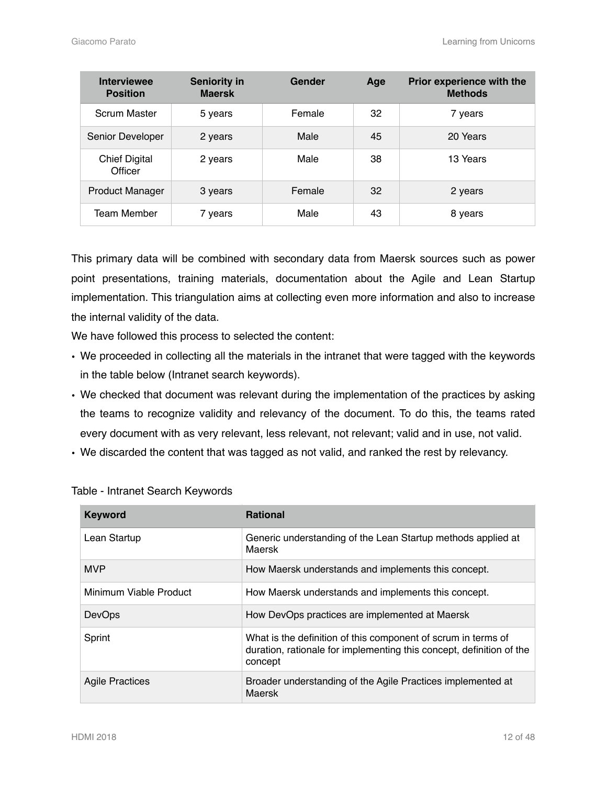| <b>Interviewee</b><br><b>Position</b> | <b>Seniority in</b><br><b>Maersk</b> | Gender | Age | Prior experience with the<br><b>Methods</b> |
|---------------------------------------|--------------------------------------|--------|-----|---------------------------------------------|
| <b>Scrum Master</b>                   | 5 years                              | Female | 32  | 7 years                                     |
| Senior Developer                      | 2 years                              | Male   | 45  | 20 Years                                    |
| <b>Chief Digital</b><br>Officer       | 2 years                              | Male   | 38  | 13 Years                                    |
| <b>Product Manager</b>                | 3 years                              | Female | 32  | 2 years                                     |
| Team Member                           | 7 years                              | Male   | 43  | 8 years                                     |

This primary data will be combined with secondary data from Maersk sources such as power point presentations, training materials, documentation about the Agile and Lean Startup implementation. This triangulation aims at collecting even more information and also to increase the internal validity of the data.

We have followed this process to selected the content:

- We proceeded in collecting all the materials in the intranet that were tagged with the keywords in the table below (Intranet search keywords).
- We checked that document was relevant during the implementation of the practices by asking the teams to recognize validity and relevancy of the document. To do this, the teams rated every document with as very relevant, less relevant, not relevant; valid and in use, not valid.
- We discarded the content that was tagged as not valid, and ranked the rest by relevancy.

| <b>Keyword</b>         | <b>Rational</b>                                                                                                                                  |
|------------------------|--------------------------------------------------------------------------------------------------------------------------------------------------|
| Lean Startup           | Generic understanding of the Lean Startup methods applied at<br>Maersk                                                                           |
| <b>MVP</b>             | How Maersk understands and implements this concept.                                                                                              |
| Minimum Viable Product | How Maersk understands and implements this concept.                                                                                              |
| <b>DevOps</b>          | How DevOps practices are implemented at Maersk                                                                                                   |
| Sprint                 | What is the definition of this component of scrum in terms of<br>duration, rationale for implementing this concept, definition of the<br>concept |
| <b>Agile Practices</b> | Broader understanding of the Agile Practices implemented at<br><b>Maersk</b>                                                                     |

Table - Intranet Search Keywords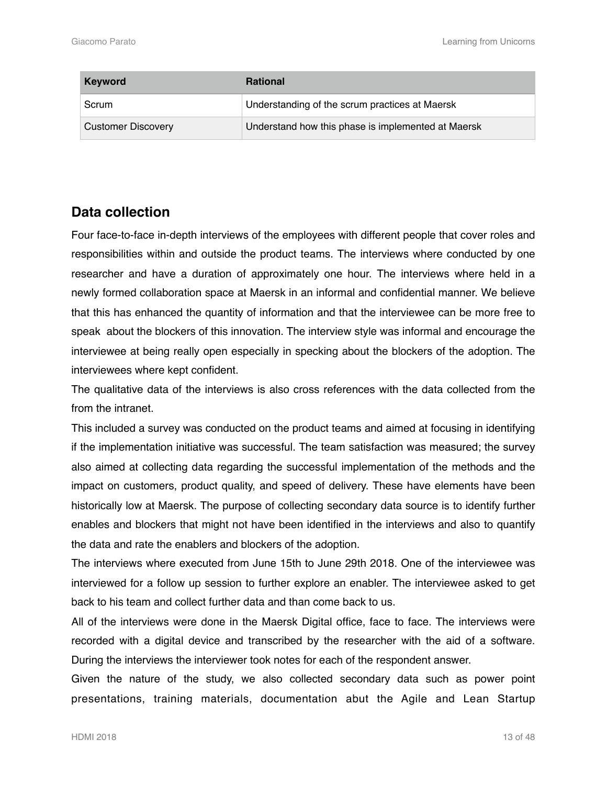| <b>Keyword</b>            | <b>Rational</b>                                    |
|---------------------------|----------------------------------------------------|
| Scrum                     | Understanding of the scrum practices at Maersk     |
| <b>Customer Discovery</b> | Understand how this phase is implemented at Maersk |

# <span id="page-12-0"></span>**Data collection**

Four face-to-face in-depth interviews of the employees with different people that cover roles and responsibilities within and outside the product teams. The interviews where conducted by one researcher and have a duration of approximately one hour. The interviews where held in a newly formed collaboration space at Maersk in an informal and confidential manner. We believe that this has enhanced the quantity of information and that the interviewee can be more free to speak about the blockers of this innovation. The interview style was informal and encourage the interviewee at being really open especially in specking about the blockers of the adoption. The interviewees where kept confident.

The qualitative data of the interviews is also cross references with the data collected from the from the intranet.

This included a survey was conducted on the product teams and aimed at focusing in identifying if the implementation initiative was successful. The team satisfaction was measured; the survey also aimed at collecting data regarding the successful implementation of the methods and the impact on customers, product quality, and speed of delivery. These have elements have been historically low at Maersk. The purpose of collecting secondary data source is to identify further enables and blockers that might not have been identified in the interviews and also to quantify the data and rate the enablers and blockers of the adoption.

The interviews where executed from June 15th to June 29th 2018. One of the interviewee was interviewed for a follow up session to further explore an enabler. The interviewee asked to get back to his team and collect further data and than come back to us.

All of the interviews were done in the Maersk Digital office, face to face. The interviews were recorded with a digital device and transcribed by the researcher with the aid of a software. During the interviews the interviewer took notes for each of the respondent answer.

Given the nature of the study, we also collected secondary data such as power point presentations, training materials, documentation abut the Agile and Lean Startup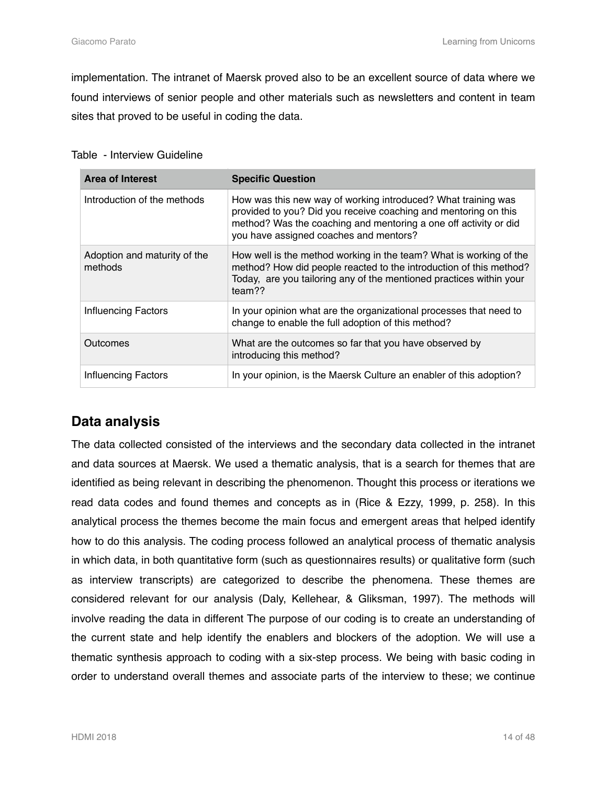implementation. The intranet of Maersk proved also to be an excellent source of data where we found interviews of senior people and other materials such as newsletters and content in team sites that proved to be useful in coding the data.

#### Table - Interview Guideline

| <b>Area of Interest</b>                 | <b>Specific Question</b>                                                                                                                                                                                                                       |
|-----------------------------------------|------------------------------------------------------------------------------------------------------------------------------------------------------------------------------------------------------------------------------------------------|
| Introduction of the methods             | How was this new way of working introduced? What training was<br>provided to you? Did you receive coaching and mentoring on this<br>method? Was the coaching and mentoring a one off activity or did<br>you have assigned coaches and mentors? |
| Adoption and maturity of the<br>methods | How well is the method working in the team? What is working of the<br>method? How did people reacted to the introduction of this method?<br>Today, are you tailoring any of the mentioned practices within your<br>team??                      |
| <b>Influencing Factors</b>              | In your opinion what are the organizational processes that need to<br>change to enable the full adoption of this method?                                                                                                                       |
| Outcomes                                | What are the outcomes so far that you have observed by<br>introducing this method?                                                                                                                                                             |
| Influencing Factors                     | In your opinion, is the Maersk Culture an enabler of this adoption?                                                                                                                                                                            |

## <span id="page-13-0"></span>**Data analysis**

The data collected consisted of the interviews and the secondary data collected in the intranet and data sources at Maersk. We used a thematic analysis, that is a search for themes that are identified as being relevant in describing the phenomenon. Thought this process or iterations we read data codes and found themes and concepts as in (Rice & Ezzy, 1999, p. 258). In this analytical process the themes become the main focus and emergent areas that helped identify how to do this analysis. The coding process followed an analytical process of thematic analysis in which data, in both quantitative form (such as questionnaires results) or qualitative form (such as interview transcripts) are categorized to describe the phenomena. These themes are considered relevant for our analysis (Daly, Kellehear, & Gliksman, 1997). The methods will involve reading the data in different The purpose of our coding is to create an understanding of the current state and help identify the enablers and blockers of the adoption. We will use a thematic synthesis approach to coding with a six-step process. We being with basic coding in order to understand overall themes and associate parts of the interview to these; we continue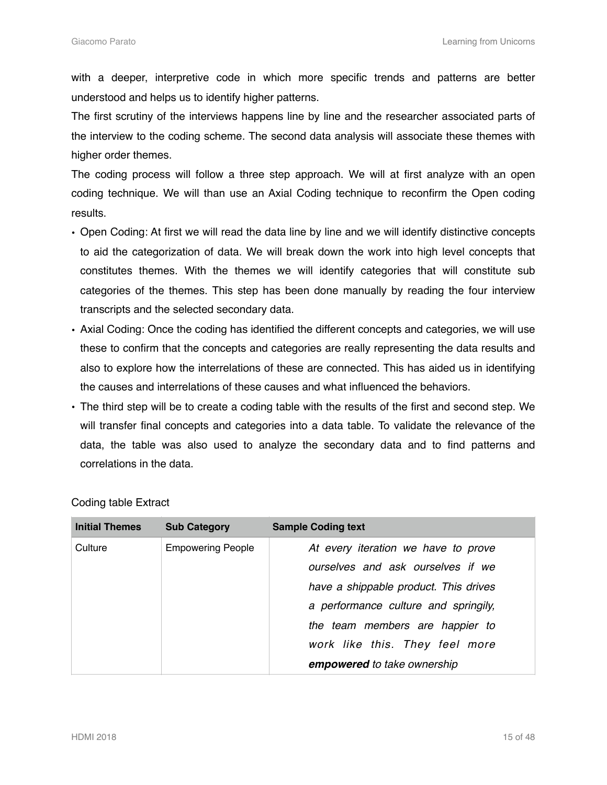with a deeper, interpretive code in which more specific trends and patterns are better understood and helps us to identify higher patterns.

The first scrutiny of the interviews happens line by line and the researcher associated parts of the interview to the coding scheme. The second data analysis will associate these themes with higher order themes.

The coding process will follow a three step approach. We will at first analyze with an open coding technique. We will than use an Axial Coding technique to reconfirm the Open coding results.

- Open Coding: At first we will read the data line by line and we will identify distinctive concepts to aid the categorization of data. We will break down the work into high level concepts that constitutes themes. With the themes we will identify categories that will constitute sub categories of the themes. This step has been done manually by reading the four interview transcripts and the selected secondary data.
- Axial Coding: Once the coding has identified the different concepts and categories, we will use these to confirm that the concepts and categories are really representing the data results and also to explore how the interrelations of these are connected. This has aided us in identifying the causes and interrelations of these causes and what influenced the behaviors.
- The third step will be to create a coding table with the results of the first and second step. We will transfer final concepts and categories into a data table. To validate the relevance of the data, the table was also used to analyze the secondary data and to find patterns and correlations in the data.

| <b>Initial Themes</b> | <b>Sub Category</b>      | <b>Sample Coding text</b>             |
|-----------------------|--------------------------|---------------------------------------|
| Culture               | <b>Empowering People</b> | At every iteration we have to prove   |
|                       |                          | ourselves and ask ourselves if we     |
|                       |                          | have a shippable product. This drives |
|                       |                          | a performance culture and springily,  |
|                       |                          | the team members are happier to       |
|                       |                          | work like this. They feel more        |
|                       |                          | <b>empowered</b> to take ownership    |

#### Coding table Extract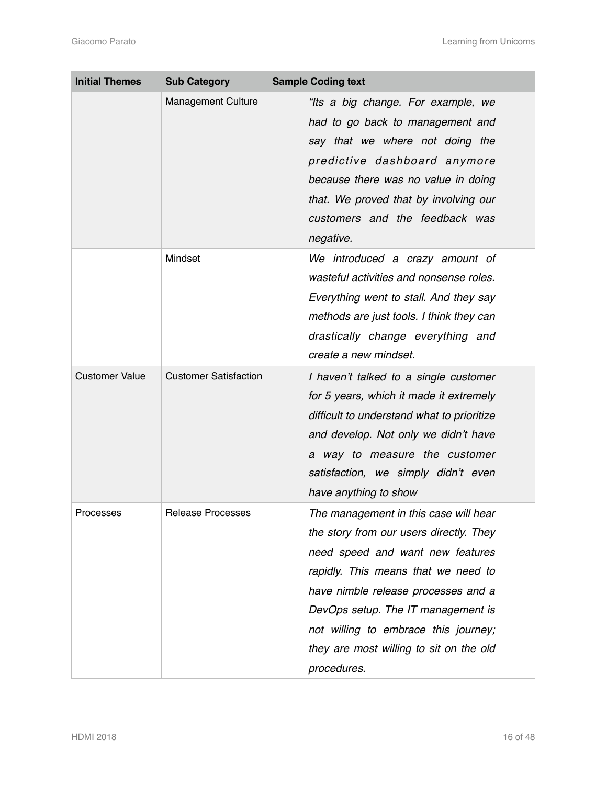| <b>Initial Themes</b> | <b>Sub Category</b>          | <b>Sample Coding text</b>                                                                                                                                                                                                                                                                                                                  |
|-----------------------|------------------------------|--------------------------------------------------------------------------------------------------------------------------------------------------------------------------------------------------------------------------------------------------------------------------------------------------------------------------------------------|
|                       | <b>Management Culture</b>    | "Its a big change. For example, we<br>had to go back to management and<br>say that we where not doing the<br>predictive dashboard anymore<br>because there was no value in doing<br>that. We proved that by involving our<br>customers and the feedback was<br>negative.                                                                   |
|                       | Mindset                      | We introduced a crazy amount of<br>wasteful activities and nonsense roles.<br>Everything went to stall. And they say<br>methods are just tools. I think they can<br>drastically change everything and<br>create a new mindset.                                                                                                             |
| <b>Customer Value</b> | <b>Customer Satisfaction</b> | I haven't talked to a single customer<br>for 5 years, which it made it extremely<br>difficult to understand what to prioritize<br>and develop. Not only we didn't have<br>a way to measure the customer<br>satisfaction, we simply didn't even<br>have anything to show                                                                    |
| Processes             | Release Processes            | The management in this case will hear<br>the story from our users directly. They<br>need speed and want new features<br>rapidly. This means that we need to<br>have nimble release processes and a<br>DevOps setup. The IT management is<br>not willing to embrace this journey;<br>they are most willing to sit on the old<br>procedures. |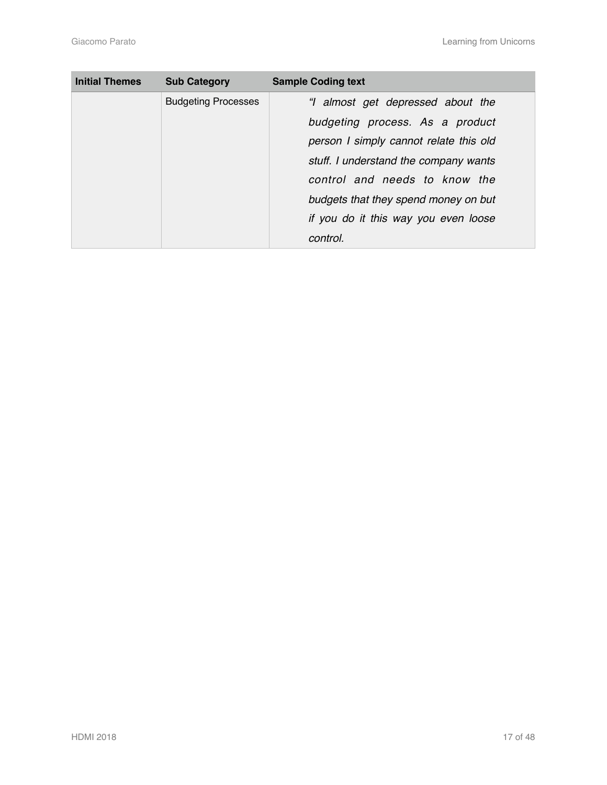| <b>Initial Themes</b> | <b>Sub Category</b>        | <b>Sample Coding text</b>              |
|-----------------------|----------------------------|----------------------------------------|
|                       | <b>Budgeting Processes</b> | "I almost get depressed about the      |
|                       |                            | budgeting process. As a product        |
|                       |                            | person I simply cannot relate this old |
|                       |                            | stuff. I understand the company wants  |
|                       |                            | control and needs to know the          |
|                       |                            | budgets that they spend money on but   |
|                       |                            | if you do it this way you even loose   |
|                       |                            | control.                               |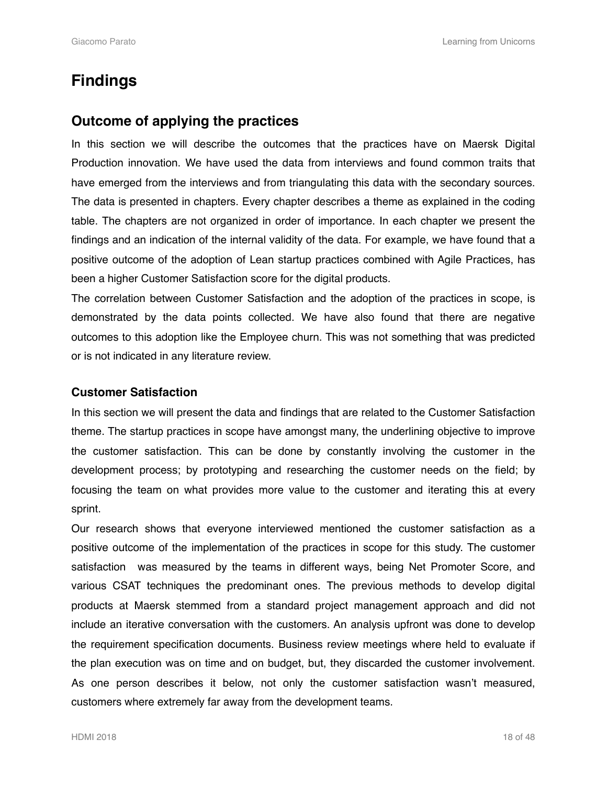# <span id="page-17-0"></span>**Findings**

## <span id="page-17-1"></span>**Outcome of applying the practices**

In this section we will describe the outcomes that the practices have on Maersk Digital Production innovation. We have used the data from interviews and found common traits that have emerged from the interviews and from triangulating this data with the secondary sources. The data is presented in chapters. Every chapter describes a theme as explained in the coding table. The chapters are not organized in order of importance. In each chapter we present the findings and an indication of the internal validity of the data. For example, we have found that a positive outcome of the adoption of Lean startup practices combined with Agile Practices, has been a higher Customer Satisfaction score for the digital products.

The correlation between Customer Satisfaction and the adoption of the practices in scope, is demonstrated by the data points collected. We have also found that there are negative outcomes to this adoption like the Employee churn. This was not something that was predicted or is not indicated in any literature review.

#### <span id="page-17-2"></span>**Customer Satisfaction**

In this section we will present the data and findings that are related to the Customer Satisfaction theme. The startup practices in scope have amongst many, the underlining objective to improve the customer satisfaction. This can be done by constantly involving the customer in the development process; by prototyping and researching the customer needs on the field; by focusing the team on what provides more value to the customer and iterating this at every sprint.

Our research shows that everyone interviewed mentioned the customer satisfaction as a positive outcome of the implementation of the practices in scope for this study. The customer satisfaction was measured by the teams in different ways, being Net Promoter Score, and various CSAT techniques the predominant ones. The previous methods to develop digital products at Maersk stemmed from a standard project management approach and did not include an iterative conversation with the customers. An analysis upfront was done to develop the requirement specification documents. Business review meetings where held to evaluate if the plan execution was on time and on budget, but, they discarded the customer involvement. As one person describes it below, not only the customer satisfaction wasn't measured, customers where extremely far away from the development teams.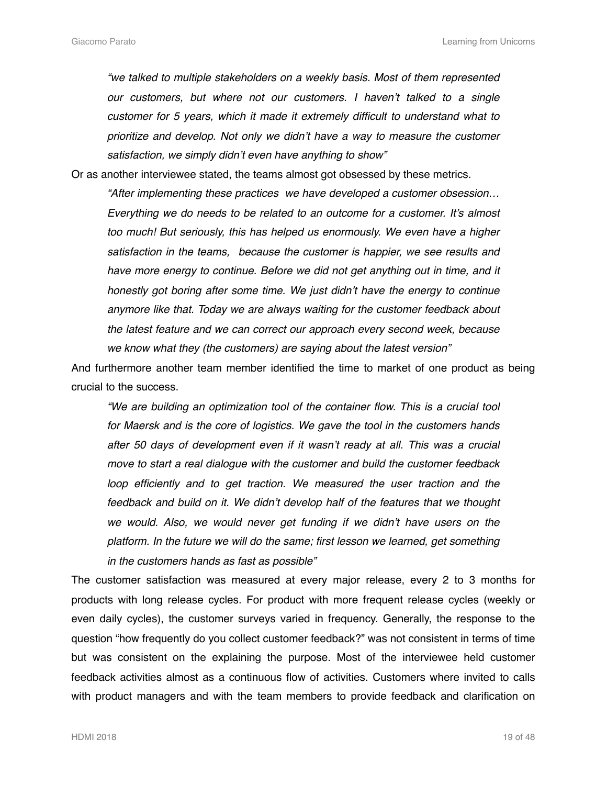*"we talked to multiple stakeholders on a weekly basis. Most of them represented our customers, but where not our customers. I haven't talked to a single customer for 5 years, which it made it extremely difficult to understand what to prioritize and develop. Not only we didn't have a way to measure the customer satisfaction, we simply didn't even have anything to show"*

Or as another interviewee stated, the teams almost got obsessed by these metrics.

*"After implementing these practices we have developed a customer obsession… Everything we do needs to be related to an outcome for a customer. It's almost too much! But seriously, this has helped us enormously. We even have a higher satisfaction in the teams, because the customer is happier, we see results and have more energy to continue. Before we did not get anything out in time, and it honestly got boring after some time. We just didn't have the energy to continue anymore like that. Today we are always waiting for the customer feedback about the latest feature and we can correct our approach every second week, because we know what they (the customers) are saying about the latest version"*

And furthermore another team member identified the time to market of one product as being crucial to the success.

*"We are building an optimization tool of the container flow. This is a crucial tool for Maersk and is the core of logistics. We gave the tool in the customers hands after 50 days of development even if it wasn't ready at all. This was a crucial move to start a real dialogue with the customer and build the customer feedback loop efficiently and to get traction. We measured the user traction and the* feedback and build on it. We didn't develop half of the features that we thought *we would. Also, we would never get funding if we didn't have users on the platform. In the future we will do the same; first lesson we learned, get something in the customers hands as fast as possible"*

The customer satisfaction was measured at every major release, every 2 to 3 months for products with long release cycles. For product with more frequent release cycles (weekly or even daily cycles), the customer surveys varied in frequency. Generally, the response to the question "how frequently do you collect customer feedback?" was not consistent in terms of time but was consistent on the explaining the purpose. Most of the interviewee held customer feedback activities almost as a continuous flow of activities. Customers where invited to calls with product managers and with the team members to provide feedback and clarification on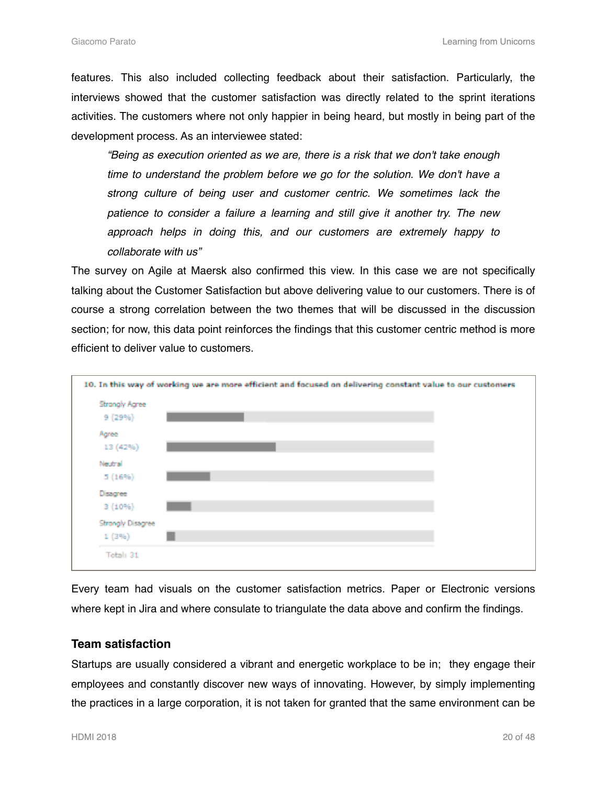features. This also included collecting feedback about their satisfaction. Particularly, the interviews showed that the customer satisfaction was directly related to the sprint iterations activities. The customers where not only happier in being heard, but mostly in being part of the development process. As an interviewee stated:

*"Being as execution oriented as we are, there is a risk that we don't take enough time to understand the problem before we go for the solution. We don't have a strong culture of being user and customer centric. We sometimes lack the patience to consider a failure a learning and still give it another try. The new approach helps in doing this, and our customers are extremely happy to collaborate with us"*

The survey on Agile at Maersk also confirmed this view. In this case we are not specifically talking about the Customer Satisfaction but above delivering value to our customers. There is of course a strong correlation between the two themes that will be discussed in the discussion section; for now, this data point reinforces the findings that this customer centric method is more efficient to deliver value to customers.



Every team had visuals on the customer satisfaction metrics. Paper or Electronic versions where kept in Jira and where consulate to triangulate the data above and confirm the findings.

#### <span id="page-19-0"></span>**Team satisfaction**

Startups are usually considered a vibrant and energetic workplace to be in; they engage their employees and constantly discover new ways of innovating. However, by simply implementing the practices in a large corporation, it is not taken for granted that the same environment can be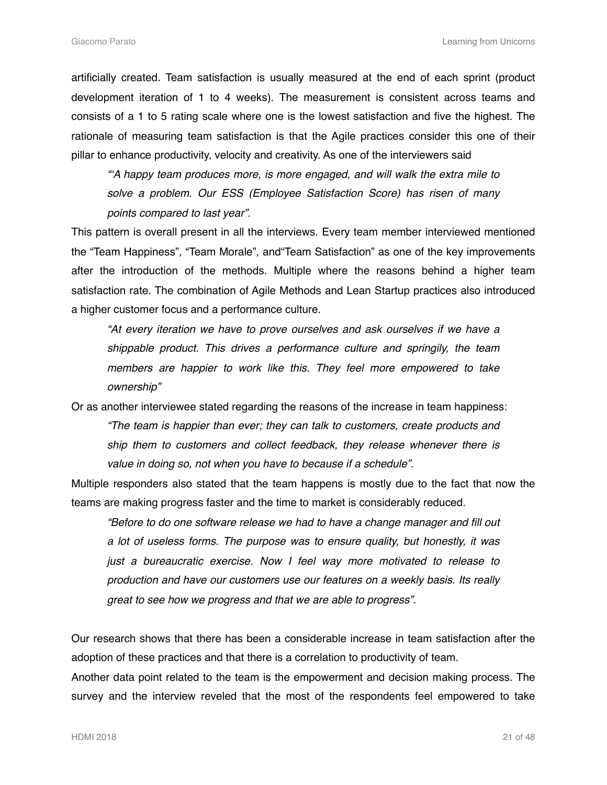artificially created. Team satisfaction is usually measured at the end of each sprint (product development iteration of 1 to 4 weeks). The measurement is consistent across teams and consists of a 1 to 5 rating scale where one is the lowest satisfaction and five the highest. The rationale of measuring team satisfaction is that the Agile practices consider this one of their pillar to enhance productivity, velocity and creativity. As one of the interviewers said

*"'A happy team produces more, is more engaged, and will walk the extra mile to solve a problem. Our ESS (Employee Satisfaction Score) has risen of many points compared to last year".* 

This pattern is overall present in all the interviews. Every team member interviewed mentioned the "Team Happiness", "Team Morale", and"Team Satisfaction" as one of the key improvements after the introduction of the methods. Multiple where the reasons behind a higher team satisfaction rate. The combination of Agile Methods and Lean Startup practices also introduced a higher customer focus and a performance culture.

*"At every iteration we have to prove ourselves and ask ourselves if we have a shippable product. This drives a performance culture and springily, the team members are happier to work like this. They feel more empowered to take ownership"*

Or as another interviewee stated regarding the reasons of the increase in team happiness: *"The team is happier than ever; they can talk to customers, create products and ship them to customers and collect feedback, they release whenever there is value in doing so, not when you have to because if a schedule".*

Multiple responders also stated that the team happens is mostly due to the fact that now the teams are making progress faster and the time to market is considerably reduced.

*"Before to do one software release we had to have a change manager and fill out a lot of useless forms. The purpose was to ensure quality, but honestly, it was just a bureaucratic exercise. Now I feel way more motivated to release to production and have our customers use our features on a weekly basis. Its really great to see how we progress and that we are able to progress".* 

Our research shows that there has been a considerable increase in team satisfaction after the adoption of these practices and that there is a correlation to productivity of team.

Another data point related to the team is the empowerment and decision making process. The survey and the interview reveled that the most of the respondents feel empowered to take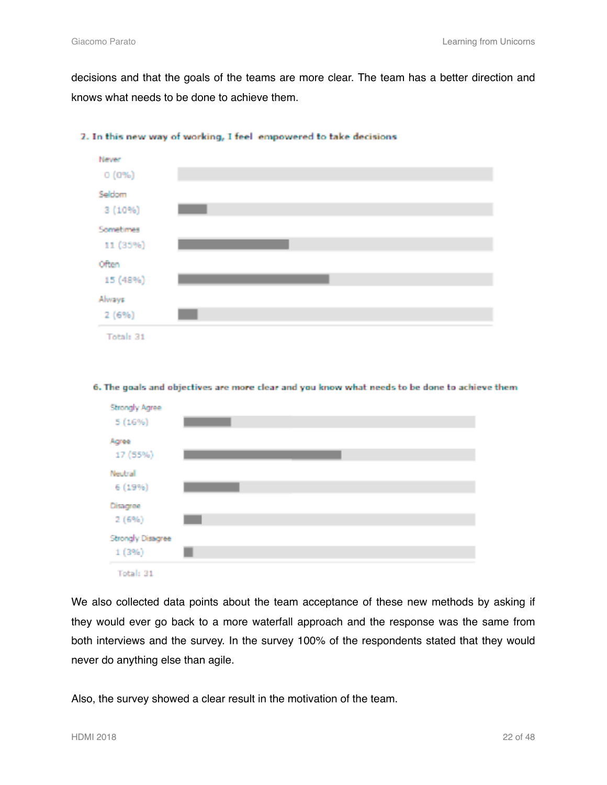decisions and that the goals of the teams are more clear. The team has a better direction and knows what needs to be done to achieve them.



#### 2. In this new way of working, I feel empowered to take decisions

#### 6. The goals and objectives are more clear and you know what needs to be done to achieve them



We also collected data points about the team acceptance of these new methods by asking if they would ever go back to a more waterfall approach and the response was the same from both interviews and the survey. In the survey 100% of the respondents stated that they would never do anything else than agile.

Also, the survey showed a clear result in the motivation of the team.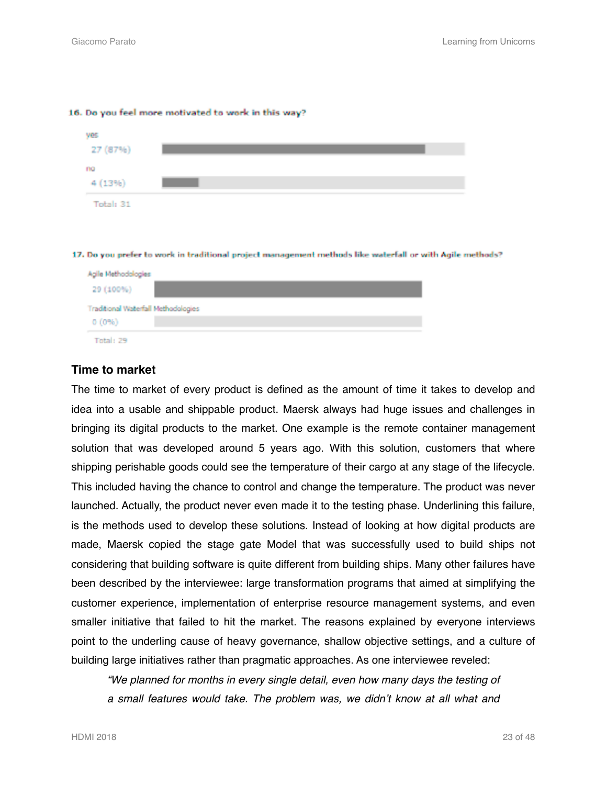#### 16. Do you feel more motivated to work in this way?



#### 17. Do you prefer to work in traditional project management methods like waterfall or with Agile methods?

| Agile Methodologies                        |  |
|--------------------------------------------|--|
| 29 (100%)                                  |  |
| <b>Traditional Waterfall Methodologies</b> |  |
| $0(0\%)$                                   |  |
| Total: 29                                  |  |

#### <span id="page-22-0"></span>**Time to market**

The time to market of every product is defined as the amount of time it takes to develop and idea into a usable and shippable product. Maersk always had huge issues and challenges in bringing its digital products to the market. One example is the remote container management solution that was developed around 5 years ago. With this solution, customers that where shipping perishable goods could see the temperature of their cargo at any stage of the lifecycle. This included having the chance to control and change the temperature. The product was never launched. Actually, the product never even made it to the testing phase. Underlining this failure, is the methods used to develop these solutions. Instead of looking at how digital products are made, Maersk copied the stage gate Model that was successfully used to build ships not considering that building software is quite different from building ships. Many other failures have been described by the interviewee: large transformation programs that aimed at simplifying the customer experience, implementation of enterprise resource management systems, and even smaller initiative that failed to hit the market. The reasons explained by everyone interviews point to the underling cause of heavy governance, shallow objective settings, and a culture of building large initiatives rather than pragmatic approaches. As one interviewee reveled:

*"We planned for months in every single detail, even how many days the testing of a small features would take. The problem was, we didn't know at all what and*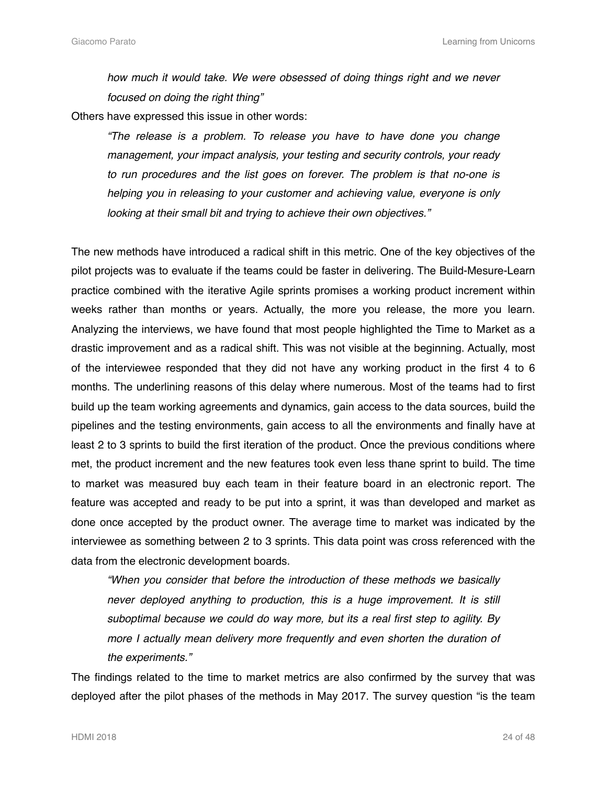*how much it would take. We were obsessed of doing things right and we never focused on doing the right thing"*

Others have expressed this issue in other words:

*"The release is a problem. To release you have to have done you change management, your impact analysis, your testing and security controls, your ready to run procedures and the list goes on forever. The problem is that no-one is helping you in releasing to your customer and achieving value, everyone is only looking at their small bit and trying to achieve their own objectives."*

The new methods have introduced a radical shift in this metric. One of the key objectives of the pilot projects was to evaluate if the teams could be faster in delivering. The Build-Mesure-Learn practice combined with the iterative Agile sprints promises a working product increment within weeks rather than months or years. Actually, the more you release, the more you learn. Analyzing the interviews, we have found that most people highlighted the Time to Market as a drastic improvement and as a radical shift. This was not visible at the beginning. Actually, most of the interviewee responded that they did not have any working product in the first 4 to 6 months. The underlining reasons of this delay where numerous. Most of the teams had to first build up the team working agreements and dynamics, gain access to the data sources, build the pipelines and the testing environments, gain access to all the environments and finally have at least 2 to 3 sprints to build the first iteration of the product. Once the previous conditions where met, the product increment and the new features took even less thane sprint to build. The time to market was measured buy each team in their feature board in an electronic report. The feature was accepted and ready to be put into a sprint, it was than developed and market as done once accepted by the product owner. The average time to market was indicated by the interviewee as something between 2 to 3 sprints. This data point was cross referenced with the data from the electronic development boards.

*"When you consider that before the introduction of these methods we basically never deployed anything to production, this is a huge improvement. It is still suboptimal because we could do way more, but its a real first step to agility. By more I actually mean delivery more frequently and even shorten the duration of the experiments."*

The findings related to the time to market metrics are also confirmed by the survey that was deployed after the pilot phases of the methods in May 2017. The survey question "is the team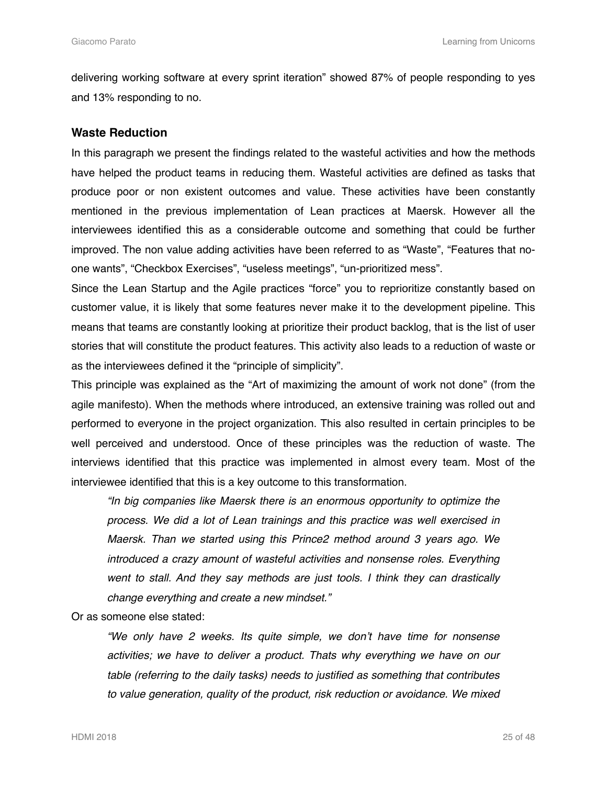delivering working software at every sprint iteration" showed 87% of people responding to yes and 13% responding to no.

#### <span id="page-24-0"></span>**Waste Reduction**

In this paragraph we present the findings related to the wasteful activities and how the methods have helped the product teams in reducing them. Wasteful activities are defined as tasks that produce poor or non existent outcomes and value. These activities have been constantly mentioned in the previous implementation of Lean practices at Maersk. However all the interviewees identified this as a considerable outcome and something that could be further improved. The non value adding activities have been referred to as "Waste", "Features that noone wants", "Checkbox Exercises", "useless meetings", "un-prioritized mess".

Since the Lean Startup and the Agile practices "force" you to reprioritize constantly based on customer value, it is likely that some features never make it to the development pipeline. This means that teams are constantly looking at prioritize their product backlog, that is the list of user stories that will constitute the product features. This activity also leads to a reduction of waste or as the interviewees defined it the "principle of simplicity".

This principle was explained as the "Art of maximizing the amount of work not done" (from the agile manifesto). When the methods where introduced, an extensive training was rolled out and performed to everyone in the project organization. This also resulted in certain principles to be well perceived and understood. Once of these principles was the reduction of waste. The interviews identified that this practice was implemented in almost every team. Most of the interviewee identified that this is a key outcome to this transformation.

*"In big companies like Maersk there is an enormous opportunity to optimize the process. We did a lot of Lean trainings and this practice was well exercised in Maersk. Than we started using this Prince2 method around 3 years ago. We introduced a crazy amount of wasteful activities and nonsense roles. Everything went to stall. And they say methods are just tools. I think they can drastically change everything and create a new mindset."*

Or as someone else stated:

*"We only have 2 weeks. Its quite simple, we don't have time for nonsense activities; we have to deliver a product. Thats why everything we have on our table (referring to the daily tasks) needs to justified as something that contributes to value generation, quality of the product, risk reduction or avoidance. We mixed*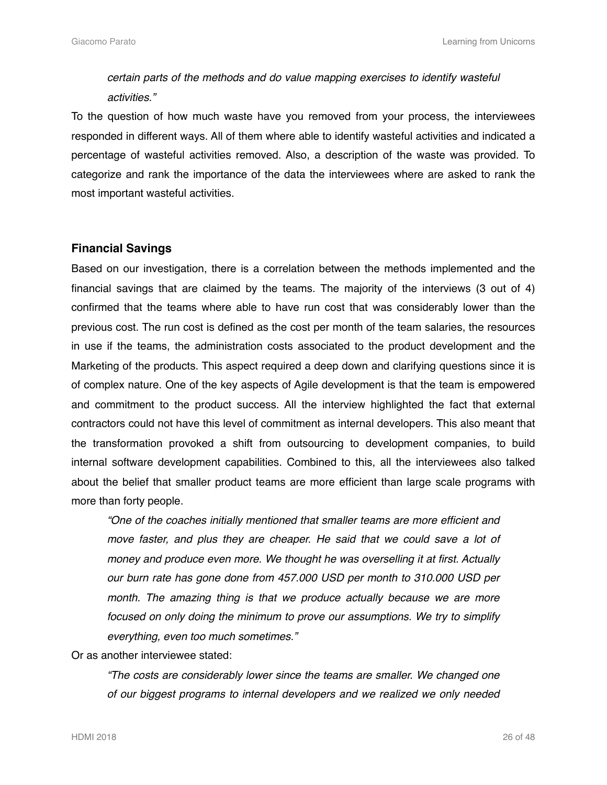# *certain parts of the methods and do value mapping exercises to identify wasteful activities."*

To the question of how much waste have you removed from your process, the interviewees responded in different ways. All of them where able to identify wasteful activities and indicated a percentage of wasteful activities removed. Also, a description of the waste was provided. To categorize and rank the importance of the data the interviewees where are asked to rank the most important wasteful activities.

#### <span id="page-25-0"></span>**Financial Savings**

Based on our investigation, there is a correlation between the methods implemented and the financial savings that are claimed by the teams. The majority of the interviews (3 out of 4) confirmed that the teams where able to have run cost that was considerably lower than the previous cost. The run cost is defined as the cost per month of the team salaries, the resources in use if the teams, the administration costs associated to the product development and the Marketing of the products. This aspect required a deep down and clarifying questions since it is of complex nature. One of the key aspects of Agile development is that the team is empowered and commitment to the product success. All the interview highlighted the fact that external contractors could not have this level of commitment as internal developers. This also meant that the transformation provoked a shift from outsourcing to development companies, to build internal software development capabilities. Combined to this, all the interviewees also talked about the belief that smaller product teams are more efficient than large scale programs with more than forty people.

*"One of the coaches initially mentioned that smaller teams are more efficient and*  move faster, and plus they are cheaper. He said that we could save a lot of *money and produce even more. We thought he was overselling it at first. Actually our burn rate has gone done from 457.000 USD per month to 310.000 USD per month. The amazing thing is that we produce actually because we are more focused on only doing the minimum to prove our assumptions. We try to simplify everything, even too much sometimes."*

Or as another interviewee stated:

*"The costs are considerably lower since the teams are smaller. We changed one of our biggest programs to internal developers and we realized we only needed*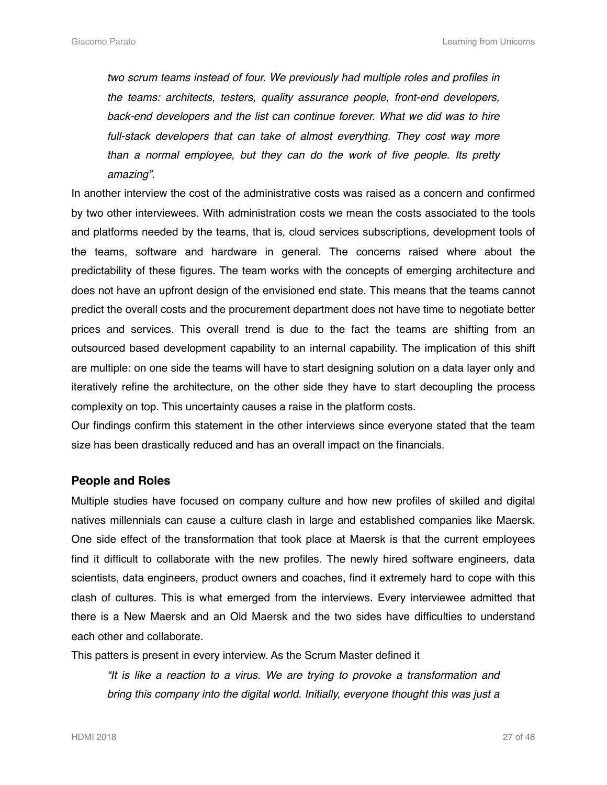*two scrum teams instead of four. We previously had multiple roles and profiles in the teams: architects, testers, quality assurance people, front-end developers,*  back-end developers and the list can continue forever. What we did was to hire *full-stack developers that can take of almost everything. They cost way more than a normal employee, but they can do the work of five people. Its pretty amazing".* 

In another interview the cost of the administrative costs was raised as a concern and confirmed by two other interviewees. With administration costs we mean the costs associated to the tools and platforms needed by the teams, that is, cloud services subscriptions, development tools of the teams, software and hardware in general. The concerns raised where about the predictability of these figures. The team works with the concepts of emerging architecture and does not have an upfront design of the envisioned end state. This means that the teams cannot predict the overall costs and the procurement department does not have time to negotiate better prices and services. This overall trend is due to the fact the teams are shifting from an outsourced based development capability to an internal capability. The implication of this shift are multiple: on one side the teams will have to start designing solution on a data layer only and iteratively refine the architecture, on the other side they have to start decoupling the process complexity on top. This uncertainty causes a raise in the platform costs.

Our findings confirm this statement in the other interviews since everyone stated that the team size has been drastically reduced and has an overall impact on the financials.

#### <span id="page-26-0"></span>**People and Roles**

Multiple studies have focused on company culture and how new profiles of skilled and digital natives millennials can cause a culture clash in large and established companies like Maersk. One side effect of the transformation that took place at Maersk is that the current employees find it difficult to collaborate with the new profiles. The newly hired software engineers, data scientists, data engineers, product owners and coaches, find it extremely hard to cope with this clash of cultures. This is what emerged from the interviews. Every interviewee admitted that there is a New Maersk and an Old Maersk and the two sides have difficulties to understand each other and collaborate.

This patters is present in every interview. As the Scrum Master defined it

*"It is like a reaction to a virus. We are trying to provoke a transformation and bring this company into the digital world. Initially, everyone thought this was just a*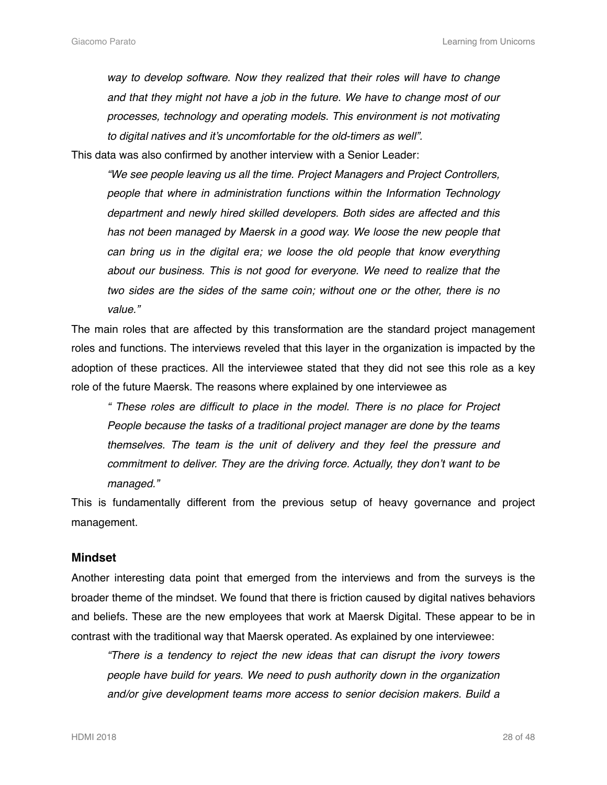*way to develop software. Now they realized that their roles will have to change and that they might not have a job in the future. We have to change most of our processes, technology and operating models. This environment is not motivating to digital natives and it's uncomfortable for the old-timers as well".*

This data was also confirmed by another interview with a Senior Leader:

*"We see people leaving us all the time. Project Managers and Project Controllers, people that where in administration functions within the Information Technology department and newly hired skilled developers. Both sides are affected and this*  has not been managed by Maersk in a good way. We loose the new people that *can bring us in the digital era; we loose the old people that know everything about our business. This is not good for everyone. We need to realize that the two sides are the sides of the same coin; without one or the other, there is no value."*

The main roles that are affected by this transformation are the standard project management roles and functions. The interviews reveled that this layer in the organization is impacted by the adoption of these practices. All the interviewee stated that they did not see this role as a key role of the future Maersk. The reasons where explained by one interviewee as

*" These roles are difficult to place in the model. There is no place for Project People because the tasks of a traditional project manager are done by the teams themselves. The team is the unit of delivery and they feel the pressure and commitment to deliver. They are the driving force. Actually, they don't want to be managed."*

This is fundamentally different from the previous setup of heavy governance and project management.

#### <span id="page-27-0"></span>**Mindset**

Another interesting data point that emerged from the interviews and from the surveys is the broader theme of the mindset. We found that there is friction caused by digital natives behaviors and beliefs. These are the new employees that work at Maersk Digital. These appear to be in contrast with the traditional way that Maersk operated. As explained by one interviewee:

*"There is a tendency to reject the new ideas that can disrupt the ivory towers people have build for years. We need to push authority down in the organization and/or give development teams more access to senior decision makers. Build a*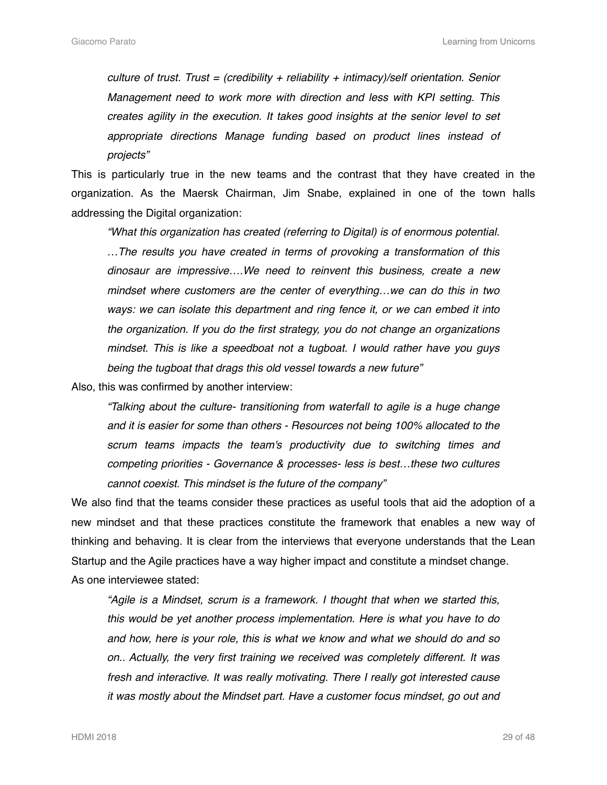*culture of trust. Trust = (credibility + reliability + intimacy)/self orientation. Senior Management need to work more with direction and less with KPI setting. This creates agility in the execution. It takes good insights at the senior level to set appropriate directions Manage funding based on product lines instead of projects"*

This is particularly true in the new teams and the contrast that they have created in the organization. As the Maersk Chairman, Jim Snabe, explained in one of the town halls addressing the Digital organization:

*"What this organization has created (referring to Digital) is of enormous potential. …The results you have created in terms of provoking a transformation of this dinosaur are impressive….We need to reinvent this business, create a new mindset where customers are the center of everything…we can do this in two ways: we can isolate this department and ring fence it, or we can embed it into the organization. If you do the first strategy, you do not change an organizations mindset. This is like a speedboat not a tugboat. I would rather have you guys being the tugboat that drags this old vessel towards a new future"*

Also, this was confirmed by another interview:

*"Talking about the culture- transitioning from waterfall to agile is a huge change and it is easier for some than others - Resources not being 100% allocated to the scrum teams impacts the team's productivity due to switching times and competing priorities - Governance & processes- less is best…these two cultures cannot coexist. This mindset is the future of the company"* 

We also find that the teams consider these practices as useful tools that aid the adoption of a new mindset and that these practices constitute the framework that enables a new way of thinking and behaving. It is clear from the interviews that everyone understands that the Lean Startup and the Agile practices have a way higher impact and constitute a mindset change. As one interviewee stated:

*"Agile is a Mindset, scrum is a framework. I thought that when we started this, this would be yet another process implementation. Here is what you have to do and how, here is your role, this is what we know and what we should do and so on.. Actually, the very first training we received was completely different. It was fresh and interactive. It was really motivating. There I really got interested cause it was mostly about the Mindset part. Have a customer focus mindset, go out and*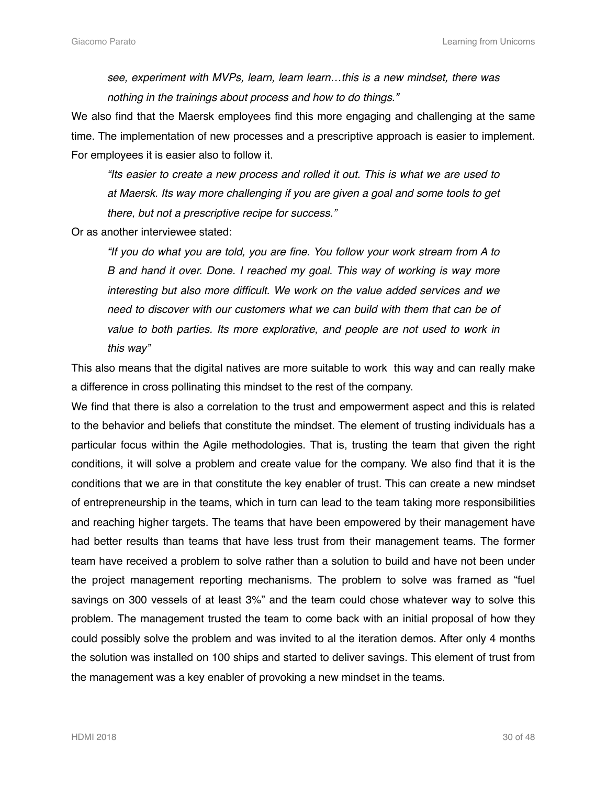*see, experiment with MVPs, learn, learn learn…this is a new mindset, there was nothing in the trainings about process and how to do things."*

We also find that the Maersk employees find this more engaging and challenging at the same time. The implementation of new processes and a prescriptive approach is easier to implement. For employees it is easier also to follow it.

*"Its easier to create a new process and rolled it out. This is what we are used to at Maersk. Its way more challenging if you are given a goal and some tools to get there, but not a prescriptive recipe for success."*

Or as another interviewee stated:

*"If you do what you are told, you are fine. You follow your work stream from A to B and hand it over. Done. I reached my goal. This way of working is way more interesting but also more difficult. We work on the value added services and we need to discover with our customers what we can build with them that can be of value to both parties. Its more explorative, and people are not used to work in this way"*

This also means that the digital natives are more suitable to work this way and can really make a difference in cross pollinating this mindset to the rest of the company.

We find that there is also a correlation to the trust and empowerment aspect and this is related to the behavior and beliefs that constitute the mindset. The element of trusting individuals has a particular focus within the Agile methodologies. That is, trusting the team that given the right conditions, it will solve a problem and create value for the company. We also find that it is the conditions that we are in that constitute the key enabler of trust. This can create a new mindset of entrepreneurship in the teams, which in turn can lead to the team taking more responsibilities and reaching higher targets. The teams that have been empowered by their management have had better results than teams that have less trust from their management teams. The former team have received a problem to solve rather than a solution to build and have not been under the project management reporting mechanisms. The problem to solve was framed as "fuel savings on 300 vessels of at least 3%" and the team could chose whatever way to solve this problem. The management trusted the team to come back with an initial proposal of how they could possibly solve the problem and was invited to al the iteration demos. After only 4 months the solution was installed on 100 ships and started to deliver savings. This element of trust from the management was a key enabler of provoking a new mindset in the teams.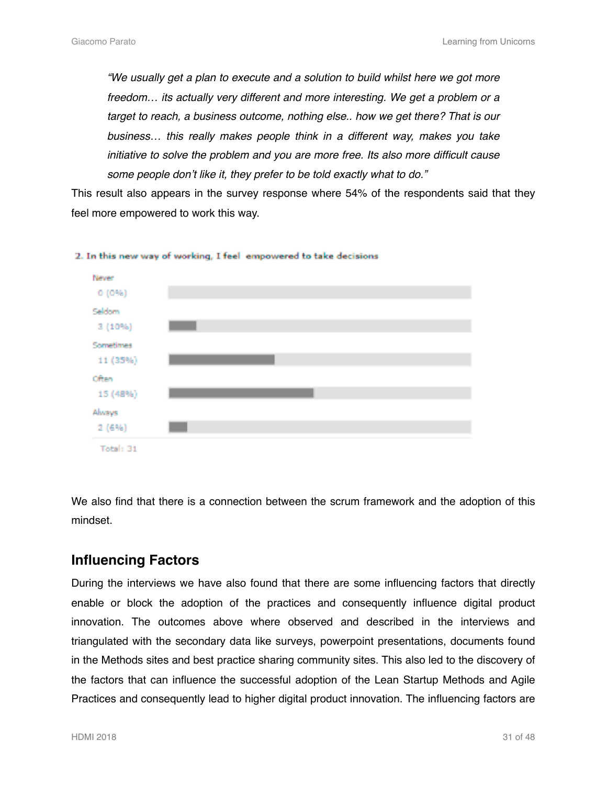*"We usually get a plan to execute and a solution to build whilst here we got more freedom… its actually very different and more interesting. We get a problem or a target to reach, a business outcome, nothing else.. how we get there? That is our business… this really makes people think in a different way, makes you take initiative to solve the problem and you are more free. Its also more difficult cause some people don't like it, they prefer to be told exactly what to do."* 

This result also appears in the survey response where 54% of the respondents said that they feel more empowered to work this way.



2. In this new way of working, I feel empowered to take decisions

We also find that there is a connection between the scrum framework and the adoption of this mindset.

## <span id="page-30-0"></span>**Influencing Factors**

During the interviews we have also found that there are some influencing factors that directly enable or block the adoption of the practices and consequently influence digital product innovation. The outcomes above where observed and described in the interviews and triangulated with the secondary data like surveys, powerpoint presentations, documents found in the Methods sites and best practice sharing community sites. This also led to the discovery of the factors that can influence the successful adoption of the Lean Startup Methods and Agile Practices and consequently lead to higher digital product innovation. The influencing factors are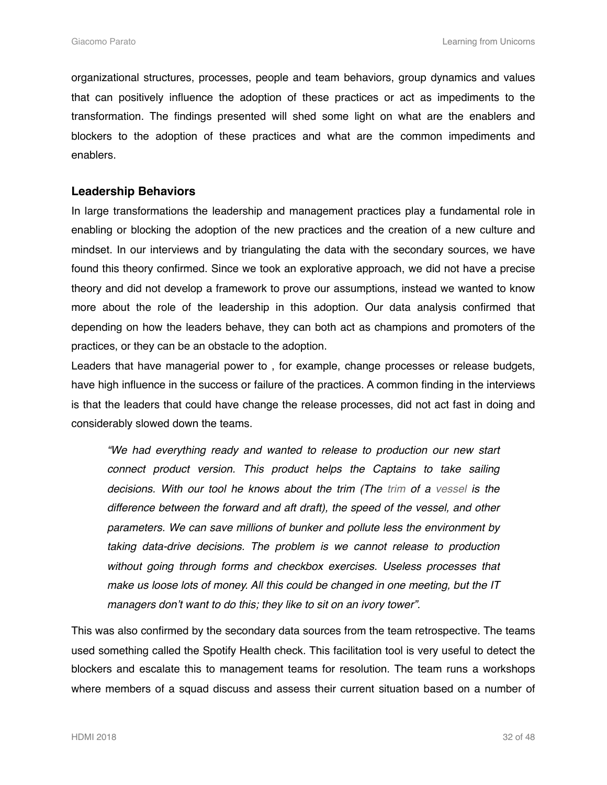organizational structures, processes, people and team behaviors, group dynamics and values that can positively influence the adoption of these practices or act as impediments to the transformation. The findings presented will shed some light on what are the enablers and blockers to the adoption of these practices and what are the common impediments and enablers.

#### <span id="page-31-0"></span>**Leadership Behaviors**

In large transformations the leadership and management practices play a fundamental role in enabling or blocking the adoption of the new practices and the creation of a new culture and mindset. In our interviews and by triangulating the data with the secondary sources, we have found this theory confirmed. Since we took an explorative approach, we did not have a precise theory and did not develop a framework to prove our assumptions, instead we wanted to know more about the role of the leadership in this adoption. Our data analysis confirmed that depending on how the leaders behave, they can both act as champions and promoters of the practices, or they can be an obstacle to the adoption.

Leaders that have managerial power to , for example, change processes or release budgets, have high influence in the success or failure of the practices. A common finding in the interviews is that the leaders that could have change the release processes, did not act fast in doing and considerably slowed down the teams.

*"We had everything ready and wanted to release to production our new start connect product version. This product helps the Captains to take sailing decisions. With our tool he knows about the trim (The trim of a vessel is the difference between the forward and aft draft), the speed of the vessel, and other parameters. We can save millions of bunker and pollute less the environment by taking data-drive decisions. The problem is we cannot release to production without going through forms and checkbox exercises. Useless processes that make us loose lots of money. All this could be changed in one meeting, but the IT managers don't want to do this; they like to sit on an ivory tower".* 

This was also confirmed by the secondary data sources from the team retrospective. The teams used something called the Spotify Health check. This facilitation tool is very useful to detect the blockers and escalate this to management teams for resolution. The team runs a workshops where members of a squad discuss and assess their current situation based on a number of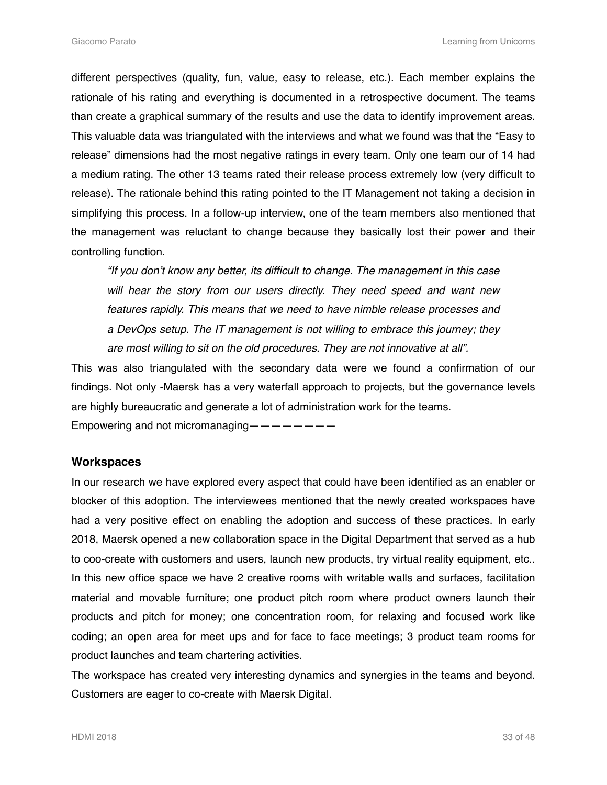different perspectives (quality, fun, value, easy to release, etc.). Each member explains the rationale of his rating and everything is documented in a retrospective document. The teams than create a graphical summary of the results and use the data to identify improvement areas. This valuable data was triangulated with the interviews and what we found was that the "Easy to release" dimensions had the most negative ratings in every team. Only one team our of 14 had a medium rating. The other 13 teams rated their release process extremely low (very difficult to release). The rationale behind this rating pointed to the IT Management not taking a decision in simplifying this process. In a follow-up interview, one of the team members also mentioned that the management was reluctant to change because they basically lost their power and their controlling function.

*"If you don't know any better, its difficult to change. The management in this case will hear the story from our users directly. They need speed and want new features rapidly. This means that we need to have nimble release processes and a DevOps setup. The IT management is not willing to embrace this journey; they are most willing to sit on the old procedures. They are not innovative at all".* 

This was also triangulated with the secondary data were we found a confirmation of our findings. Not only -Maersk has a very waterfall approach to projects, but the governance levels are highly bureaucratic and generate a lot of administration work for the teams. Empowering and not micromanaging — — — — — — —

#### <span id="page-32-0"></span>**Workspaces**

In our research we have explored every aspect that could have been identified as an enabler or blocker of this adoption. The interviewees mentioned that the newly created workspaces have had a very positive effect on enabling the adoption and success of these practices. In early 2018, Maersk opened a new collaboration space in the Digital Department that served as a hub to coo-create with customers and users, launch new products, try virtual reality equipment, etc.. In this new office space we have 2 creative rooms with writable walls and surfaces, facilitation material and movable furniture; one product pitch room where product owners launch their products and pitch for money; one concentration room, for relaxing and focused work like coding; an open area for meet ups and for face to face meetings; 3 product team rooms for product launches and team chartering activities.

The workspace has created very interesting dynamics and synergies in the teams and beyond. Customers are eager to co-create with Maersk Digital.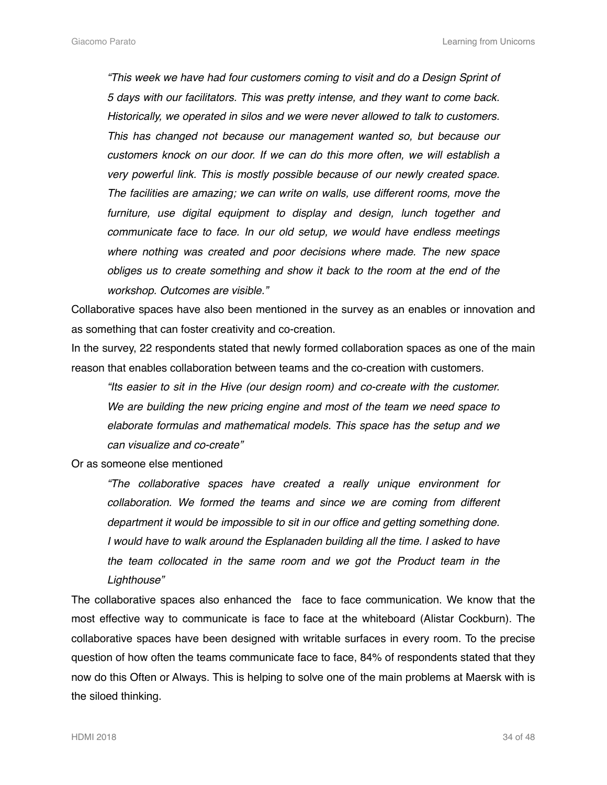*"This week we have had four customers coming to visit and do a Design Sprint of 5 days with our facilitators. This was pretty intense, and they want to come back. Historically, we operated in silos and we were never allowed to talk to customers. This has changed not because our management wanted so, but because our customers knock on our door. If we can do this more often, we will establish a very powerful link. This is mostly possible because of our newly created space. The facilities are amazing; we can write on walls, use different rooms, move the furniture, use digital equipment to display and design, lunch together and communicate face to face. In our old setup, we would have endless meetings where nothing was created and poor decisions where made. The new space obliges us to create something and show it back to the room at the end of the workshop. Outcomes are visible."*

Collaborative spaces have also been mentioned in the survey as an enables or innovation and as something that can foster creativity and co-creation.

In the survey, 22 respondents stated that newly formed collaboration spaces as one of the main reason that enables collaboration between teams and the co-creation with customers.

*"Its easier to sit in the Hive (our design room) and co-create with the customer. We are building the new pricing engine and most of the team we need space to elaborate formulas and mathematical models. This space has the setup and we can visualize and co-create"* 

Or as someone else mentioned

*"The collaborative spaces have created a really unique environment for collaboration. We formed the teams and since we are coming from different department it would be impossible to sit in our office and getting something done. I would have to walk around the Esplanaden building all the time. I asked to have the team collocated in the same room and we got the Product team in the Lighthouse"*

The collaborative spaces also enhanced the face to face communication. We know that the most effective way to communicate is face to face at the whiteboard (Alistar Cockburn). The collaborative spaces have been designed with writable surfaces in every room. To the precise question of how often the teams communicate face to face, 84% of respondents stated that they now do this Often or Always. This is helping to solve one of the main problems at Maersk with is the siloed thinking.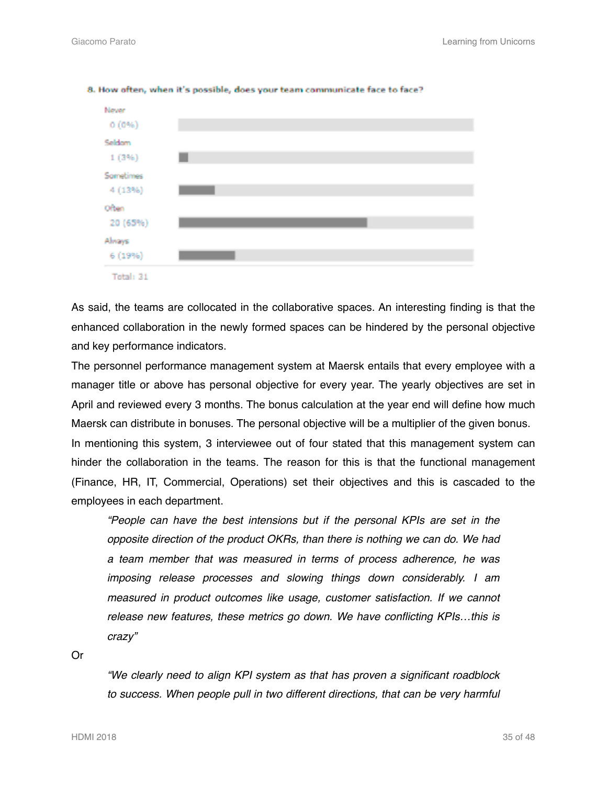

8. How often, when it's possible, does your team communicate face to face?

As said, the teams are collocated in the collaborative spaces. An interesting finding is that the enhanced collaboration in the newly formed spaces can be hindered by the personal objective and key performance indicators.

The personnel performance management system at Maersk entails that every employee with a manager title or above has personal objective for every year. The yearly objectives are set in April and reviewed every 3 months. The bonus calculation at the year end will define how much Maersk can distribute in bonuses. The personal objective will be a multiplier of the given bonus. In mentioning this system, 3 interviewee out of four stated that this management system can hinder the collaboration in the teams. The reason for this is that the functional management (Finance, HR, IT, Commercial, Operations) set their objectives and this is cascaded to the employees in each department.

*"People can have the best intensions but if the personal KPIs are set in the opposite direction of the product OKRs, than there is nothing we can do. We had a team member that was measured in terms of process adherence, he was imposing release processes and slowing things down considerably. I am measured in product outcomes like usage, customer satisfaction. If we cannot release new features, these metrics go down. We have conflicting KPIs…this is crazy"*

Or

*"We clearly need to align KPI system as that has proven a significant roadblock to success. When people pull in two different directions, that can be very harmful*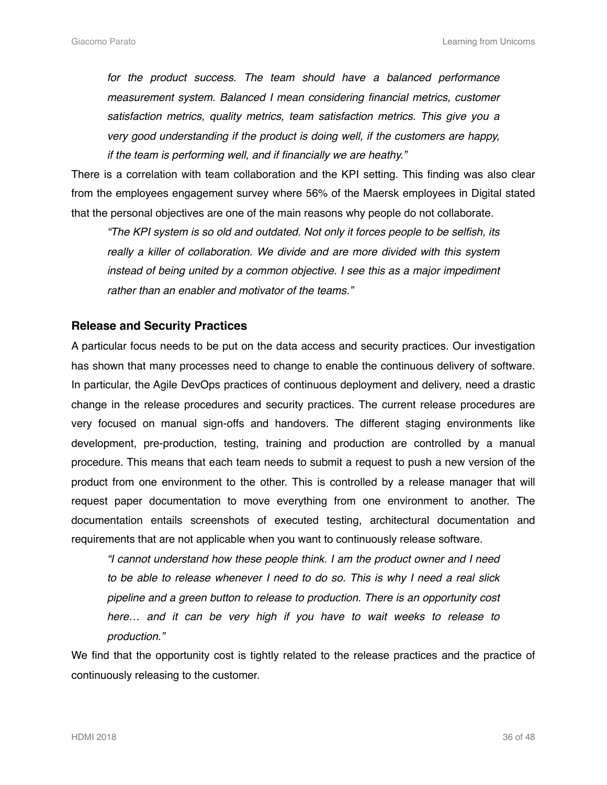*for the product success. The team should have a balanced performance measurement system. Balanced I mean considering financial metrics, customer satisfaction metrics, quality metrics, team satisfaction metrics. This give you a very good understanding if the product is doing well, if the customers are happy, if the team is performing well, and if financially we are heathy."*

There is a correlation with team collaboration and the KPI setting. This finding was also clear from the employees engagement survey where 56% of the Maersk employees in Digital stated that the personal objectives are one of the main reasons why people do not collaborate.

*"The KPI system is so old and outdated. Not only it forces people to be selfish, its really a killer of collaboration. We divide and are more divided with this system instead of being united by a common objective. I see this as a major impediment rather than an enabler and motivator of the teams."*

#### <span id="page-35-0"></span>**Release and Security Practices**

A particular focus needs to be put on the data access and security practices. Our investigation has shown that many processes need to change to enable the continuous delivery of software. In particular, the Agile DevOps practices of continuous deployment and delivery, need a drastic change in the release procedures and security practices. The current release procedures are very focused on manual sign-offs and handovers. The different staging environments like development, pre-production, testing, training and production are controlled by a manual procedure. This means that each team needs to submit a request to push a new version of the product from one environment to the other. This is controlled by a release manager that will request paper documentation to move everything from one environment to another. The documentation entails screenshots of executed testing, architectural documentation and requirements that are not applicable when you want to continuously release software.

*"I cannot understand how these people think. I am the product owner and I need to be able to release whenever I need to do so. This is why I need a real slick pipeline and a green button to release to production. There is an opportunity cost here… and it can be very high if you have to wait weeks to release to production."*

We find that the opportunity cost is tightly related to the release practices and the practice of continuously releasing to the customer.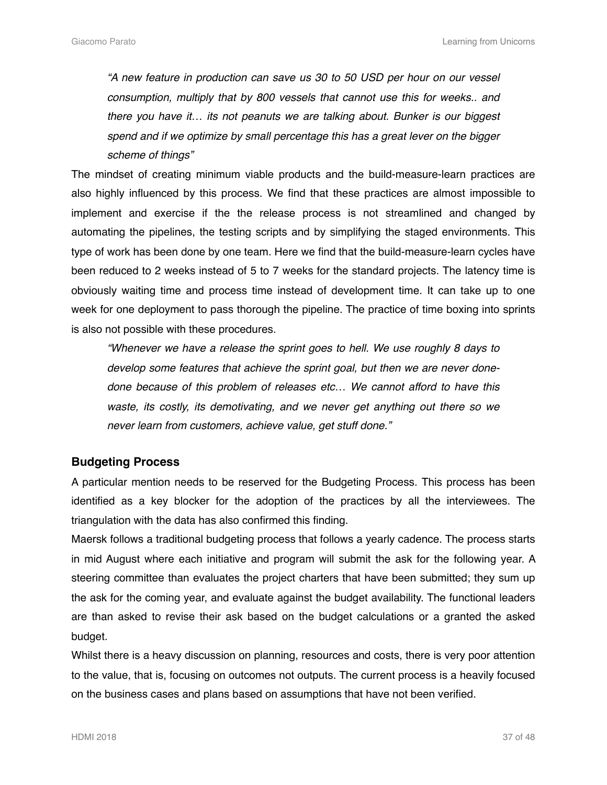*"A new feature in production can save us 30 to 50 USD per hour on our vessel consumption, multiply that by 800 vessels that cannot use this for weeks.. and there you have it… its not peanuts we are talking about. Bunker is our biggest spend and if we optimize by small percentage this has a great lever on the bigger scheme of things"*

The mindset of creating minimum viable products and the build-measure-learn practices are also highly influenced by this process. We find that these practices are almost impossible to implement and exercise if the the release process is not streamlined and changed by automating the pipelines, the testing scripts and by simplifying the staged environments. This type of work has been done by one team. Here we find that the build-measure-learn cycles have been reduced to 2 weeks instead of 5 to 7 weeks for the standard projects. The latency time is obviously waiting time and process time instead of development time. It can take up to one week for one deployment to pass thorough the pipeline. The practice of time boxing into sprints is also not possible with these procedures.

*"Whenever we have a release the sprint goes to hell. We use roughly 8 days to develop some features that achieve the sprint goal, but then we are never donedone because of this problem of releases etc… We cannot afford to have this waste, its costly, its demotivating, and we never get anything out there so we never learn from customers, achieve value, get stuff done."*

### <span id="page-36-0"></span>**Budgeting Process**

A particular mention needs to be reserved for the Budgeting Process. This process has been identified as a key blocker for the adoption of the practices by all the interviewees. The triangulation with the data has also confirmed this finding.

Maersk follows a traditional budgeting process that follows a yearly cadence. The process starts in mid August where each initiative and program will submit the ask for the following year. A steering committee than evaluates the project charters that have been submitted; they sum up the ask for the coming year, and evaluate against the budget availability. The functional leaders are than asked to revise their ask based on the budget calculations or a granted the asked budget.

Whilst there is a heavy discussion on planning, resources and costs, there is very poor attention to the value, that is, focusing on outcomes not outputs. The current process is a heavily focused on the business cases and plans based on assumptions that have not been verified.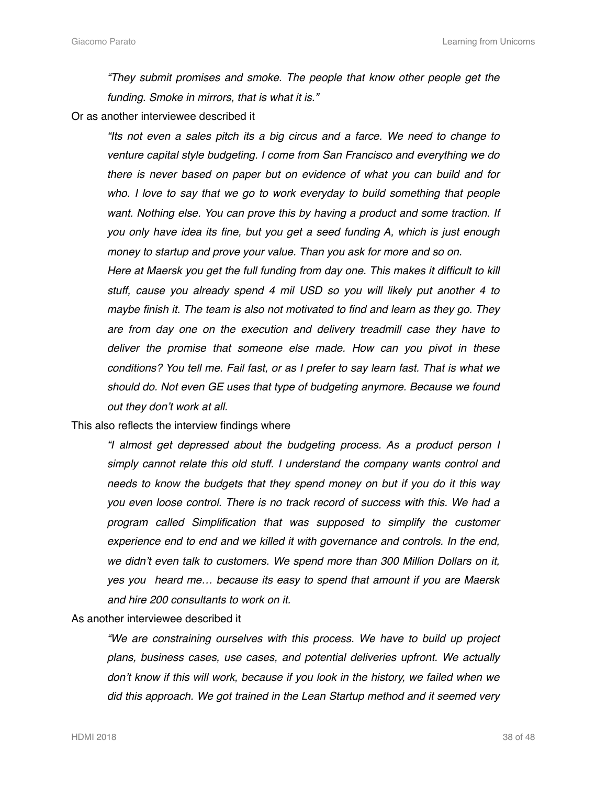*"They submit promises and smoke. The people that know other people get the funding. Smoke in mirrors, that is what it is."*

Or as another interviewee described it

*"Its not even a sales pitch its a big circus and a farce. We need to change to venture capital style budgeting. I come from San Francisco and everything we do there is never based on paper but on evidence of what you can build and for who. I love to say that we go to work everyday to build something that people*  want. Nothing else. You can prove this by having a product and some traction. If *you only have idea its fine, but you get a seed funding A, which is just enough money to startup and prove your value. Than you ask for more and so on.* 

*Here at Maersk you get the full funding from day one. This makes it difficult to kill stuff, cause you already spend 4 mil USD so you will likely put another 4 to maybe finish it. The team is also not motivated to find and learn as they go. They are from day one on the execution and delivery treadmill case they have to deliver the promise that someone else made. How can you pivot in these conditions? You tell me. Fail fast, or as I prefer to say learn fast. That is what we should do. Not even GE uses that type of budgeting anymore. Because we found out they don't work at all.* 

This also reflects the interview findings where

*"I almost get depressed about the budgeting process. As a product person I simply cannot relate this old stuff. I understand the company wants control and needs to know the budgets that they spend money on but if you do it this way you even loose control. There is no track record of success with this. We had a program called Simplification that was supposed to simplify the customer experience end to end and we killed it with governance and controls. In the end, we didn't even talk to customers. We spend more than 300 Million Dollars on it, yes you heard me… because its easy to spend that amount if you are Maersk and hire 200 consultants to work on it.* 

As another interviewee described it

*"We are constraining ourselves with this process. We have to build up project plans, business cases, use cases, and potential deliveries upfront. We actually don't know if this will work, because if you look in the history, we failed when we did this approach. We got trained in the Lean Startup method and it seemed very*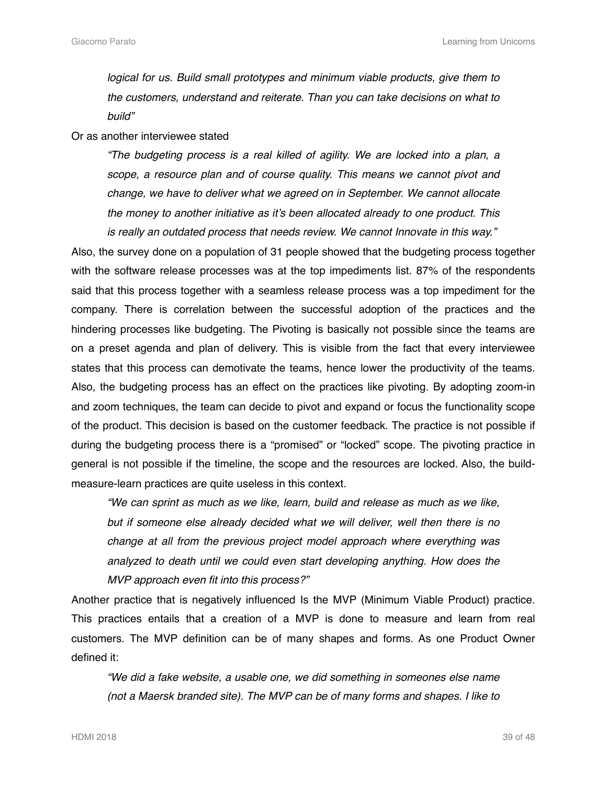*logical for us. Build small prototypes and minimum viable products, give them to the customers, understand and reiterate. Than you can take decisions on what to build"* 

Or as another interviewee stated

*"The budgeting process is a real killed of agility. We are locked into a plan, a scope, a resource plan and of course quality. This means we cannot pivot and change, we have to deliver what we agreed on in September. We cannot allocate the money to another initiative as it's been allocated already to one product. This is really an outdated process that needs review. We cannot Innovate in this way."*

Also, the survey done on a population of 31 people showed that the budgeting process together with the software release processes was at the top impediments list. 87% of the respondents said that this process together with a seamless release process was a top impediment for the company. There is correlation between the successful adoption of the practices and the hindering processes like budgeting. The Pivoting is basically not possible since the teams are on a preset agenda and plan of delivery. This is visible from the fact that every interviewee states that this process can demotivate the teams, hence lower the productivity of the teams. Also, the budgeting process has an effect on the practices like pivoting. By adopting zoom-in and zoom techniques, the team can decide to pivot and expand or focus the functionality scope of the product. This decision is based on the customer feedback. The practice is not possible if during the budgeting process there is a "promised" or "locked" scope. The pivoting practice in general is not possible if the timeline, the scope and the resources are locked. Also, the buildmeasure-learn practices are quite useless in this context.

*"We can sprint as much as we like, learn, build and release as much as we like, but if someone else already decided what we will deliver, well then there is no change at all from the previous project model approach where everything was analyzed to death until we could even start developing anything. How does the MVP approach even fit into this process?"*

Another practice that is negatively influenced Is the MVP (Minimum Viable Product) practice. This practices entails that a creation of a MVP is done to measure and learn from real customers. The MVP definition can be of many shapes and forms. As one Product Owner defined it:

*"We did a fake website, a usable one, we did something in someones else name (not a Maersk branded site). The MVP can be of many forms and shapes. I like to*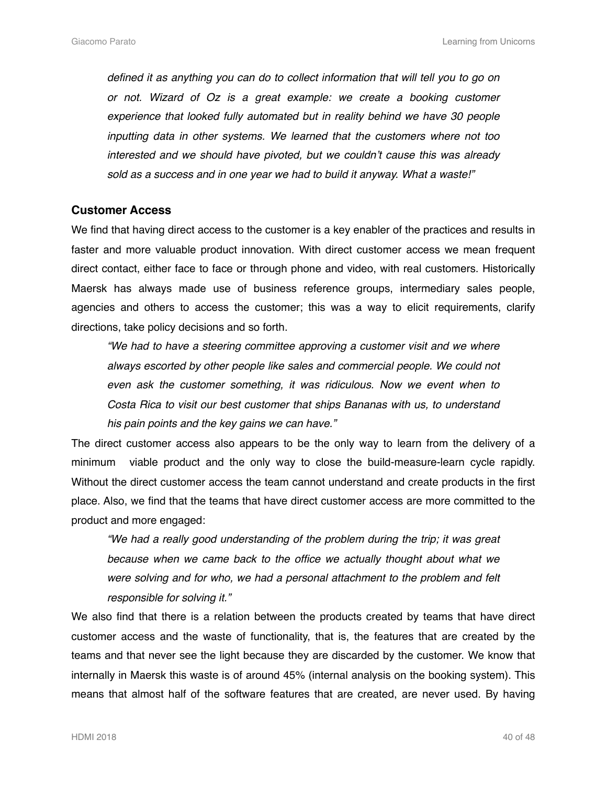*defined it as anything you can do to collect information that will tell you to go on or not. Wizard of Oz is a great example: we create a booking customer experience that looked fully automated but in reality behind we have 30 people inputting data in other systems. We learned that the customers where not too interested and we should have pivoted, but we couldn't cause this was already sold as a success and in one year we had to build it anyway. What a waste!"*

#### <span id="page-39-0"></span>**Customer Access**

We find that having direct access to the customer is a key enabler of the practices and results in faster and more valuable product innovation. With direct customer access we mean frequent direct contact, either face to face or through phone and video, with real customers. Historically Maersk has always made use of business reference groups, intermediary sales people, agencies and others to access the customer; this was a way to elicit requirements, clarify directions, take policy decisions and so forth.

*"We had to have a steering committee approving a customer visit and we where always escorted by other people like sales and commercial people. We could not even ask the customer something, it was ridiculous. Now we event when to Costa Rica to visit our best customer that ships Bananas with us, to understand his pain points and the key gains we can have."* 

The direct customer access also appears to be the only way to learn from the delivery of a minimum viable product and the only way to close the build-measure-learn cycle rapidly. Without the direct customer access the team cannot understand and create products in the first place. Also, we find that the teams that have direct customer access are more committed to the product and more engaged:

*"We had a really good understanding of the problem during the trip; it was great because when we came back to the office we actually thought about what we were solving and for who, we had a personal attachment to the problem and felt responsible for solving it."*

We also find that there is a relation between the products created by teams that have direct customer access and the waste of functionality, that is, the features that are created by the teams and that never see the light because they are discarded by the customer. We know that internally in Maersk this waste is of around 45% (internal analysis on the booking system). This means that almost half of the software features that are created, are never used. By having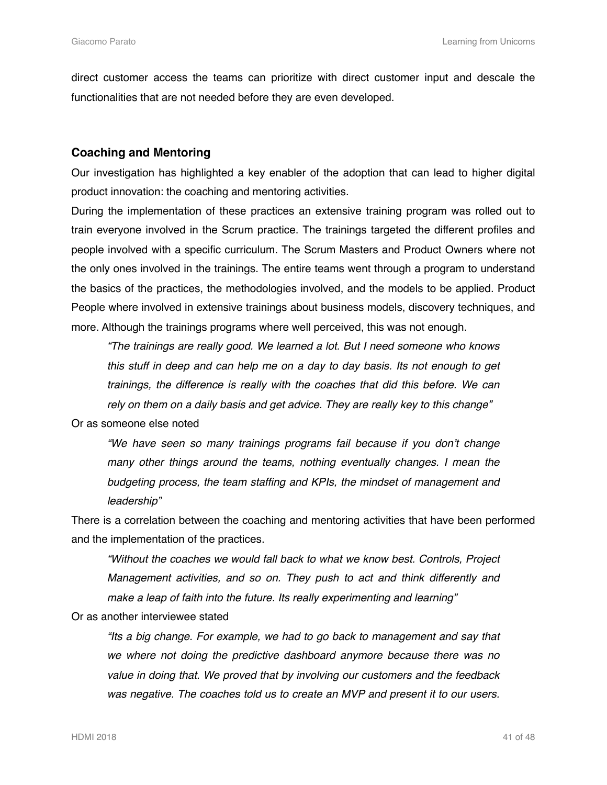direct customer access the teams can prioritize with direct customer input and descale the functionalities that are not needed before they are even developed.

#### <span id="page-40-0"></span>**Coaching and Mentoring**

Our investigation has highlighted a key enabler of the adoption that can lead to higher digital product innovation: the coaching and mentoring activities.

During the implementation of these practices an extensive training program was rolled out to train everyone involved in the Scrum practice. The trainings targeted the different profiles and people involved with a specific curriculum. The Scrum Masters and Product Owners where not the only ones involved in the trainings. The entire teams went through a program to understand the basics of the practices, the methodologies involved, and the models to be applied. Product People where involved in extensive trainings about business models, discovery techniques, and more. Although the trainings programs where well perceived, this was not enough.

*"The trainings are really good. We learned a lot. But I need someone who knows this stuff in deep and can help me on a day to day basis. Its not enough to get trainings, the difference is really with the coaches that did this before. We can rely on them on a daily basis and get advice. They are really key to this change"*

Or as someone else noted

*"We have seen so many trainings programs fail because if you don't change many other things around the teams, nothing eventually changes. I mean the budgeting process, the team staffing and KPIs, the mindset of management and leadership"*

There is a correlation between the coaching and mentoring activities that have been performed and the implementation of the practices.

*"Without the coaches we would fall back to what we know best. Controls, Project Management activities, and so on. They push to act and think differently and make a leap of faith into the future. Its really experimenting and learning"* 

Or as another interviewee stated

*"Its a big change. For example, we had to go back to management and say that we where not doing the predictive dashboard anymore because there was no value in doing that. We proved that by involving our customers and the feedback was negative. The coaches told us to create an MVP and present it to our users.*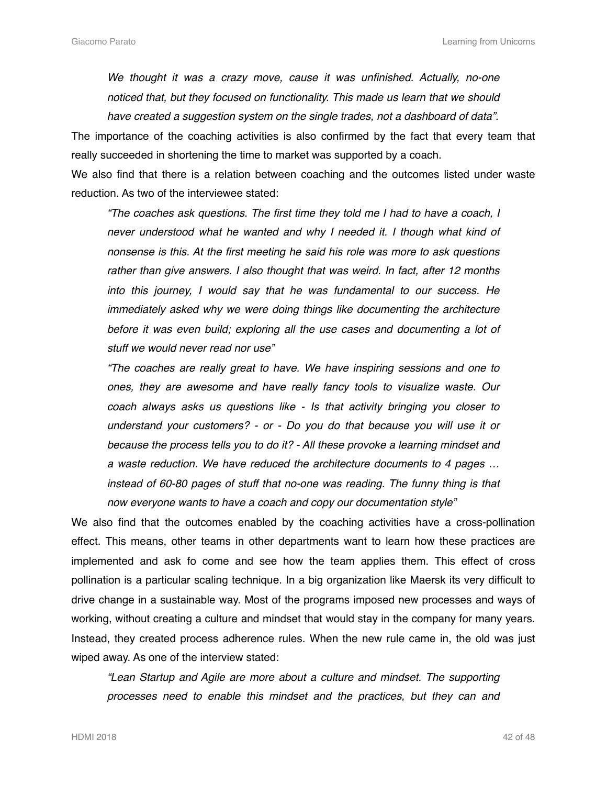*We thought it was a crazy move, cause it was unfinished. Actually, no-one noticed that, but they focused on functionality. This made us learn that we should have created a suggestion system on the single trades, not a dashboard of data".* 

The importance of the coaching activities is also confirmed by the fact that every team that really succeeded in shortening the time to market was supported by a coach.

We also find that there is a relation between coaching and the outcomes listed under waste reduction. As two of the interviewee stated:

*"The coaches ask questions. The first time they told me I had to have a coach, I never understood what he wanted and why I needed it. I though what kind of nonsense is this. At the first meeting he said his role was more to ask questions rather than give answers. I also thought that was weird. In fact, after 12 months into this journey, I would say that he was fundamental to our success. He immediately asked why we were doing things like documenting the architecture before it was even build; exploring all the use cases and documenting a lot of stuff we would never read nor use"* 

*"The coaches are really great to have. We have inspiring sessions and one to ones, they are awesome and have really fancy tools to visualize waste. Our coach always asks us questions like - Is that activity bringing you closer to understand your customers? - or - Do you do that because you will use it or because the process tells you to do it? - All these provoke a learning mindset and a waste reduction. We have reduced the architecture documents to 4 pages …*  instead of 60-80 pages of stuff that no-one was reading. The funny thing is that *now everyone wants to have a coach and copy our documentation style"*

We also find that the outcomes enabled by the coaching activities have a cross-pollination effect. This means, other teams in other departments want to learn how these practices are implemented and ask fo come and see how the team applies them. This effect of cross pollination is a particular scaling technique. In a big organization like Maersk its very difficult to drive change in a sustainable way. Most of the programs imposed new processes and ways of working, without creating a culture and mindset that would stay in the company for many years. Instead, they created process adherence rules. When the new rule came in, the old was just wiped away. As one of the interview stated:

*"Lean Startup and Agile are more about a culture and mindset. The supporting processes need to enable this mindset and the practices, but they can and*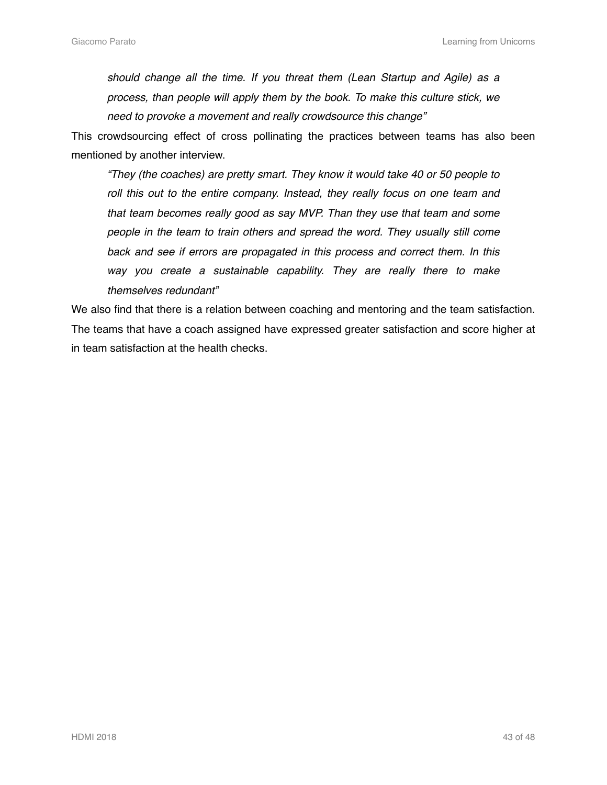Giacomo Parato **Contractor Contractor Contractor** Contractor Contractor Contractorns Contractorns Contractorns Contractorns Contractorns Contractorns Contractorns Contractorns Contractorns Contractorns Contractorns Contrac

*should change all the time. If you threat them (Lean Startup and Agile) as a process, than people will apply them by the book. To make this culture stick, we need to provoke a movement and really crowdsource this change"*

This crowdsourcing effect of cross pollinating the practices between teams has also been mentioned by another interview.

*"They (the coaches) are pretty smart. They know it would take 40 or 50 people to roll this out to the entire company. Instead, they really focus on one team and that team becomes really good as say MVP. Than they use that team and some people in the team to train others and spread the word. They usually still come back and see if errors are propagated in this process and correct them. In this way you create a sustainable capability. They are really there to make themselves redundant"*

We also find that there is a relation between coaching and mentoring and the team satisfaction. The teams that have a coach assigned have expressed greater satisfaction and score higher at in team satisfaction at the health checks.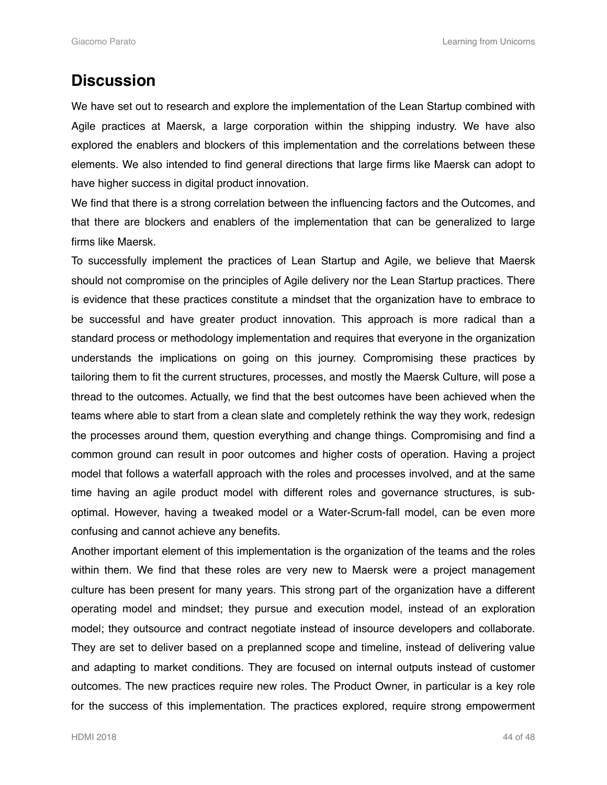# <span id="page-43-0"></span>**Discussion**

We have set out to research and explore the implementation of the Lean Startup combined with Agile practices at Maersk, a large corporation within the shipping industry. We have also explored the enablers and blockers of this implementation and the correlations between these elements. We also intended to find general directions that large firms like Maersk can adopt to have higher success in digital product innovation.

We find that there is a strong correlation between the influencing factors and the Outcomes, and that there are blockers and enablers of the implementation that can be generalized to large firms like Maersk.

To successfully implement the practices of Lean Startup and Agile, we believe that Maersk should not compromise on the principles of Agile delivery nor the Lean Startup practices. There is evidence that these practices constitute a mindset that the organization have to embrace to be successful and have greater product innovation. This approach is more radical than a standard process or methodology implementation and requires that everyone in the organization understands the implications on going on this journey. Compromising these practices by tailoring them to fit the current structures, processes, and mostly the Maersk Culture, will pose a thread to the outcomes. Actually, we find that the best outcomes have been achieved when the teams where able to start from a clean slate and completely rethink the way they work, redesign the processes around them, question everything and change things. Compromising and find a common ground can result in poor outcomes and higher costs of operation. Having a project model that follows a waterfall approach with the roles and processes involved, and at the same time having an agile product model with different roles and governance structures, is suboptimal. However, having a tweaked model or a Water-Scrum-fall model, can be even more confusing and cannot achieve any benefits.

Another important element of this implementation is the organization of the teams and the roles within them. We find that these roles are very new to Maersk were a project management culture has been present for many years. This strong part of the organization have a different operating model and mindset; they pursue and execution model, instead of an exploration model; they outsource and contract negotiate instead of insource developers and collaborate. They are set to deliver based on a preplanned scope and timeline, instead of delivering value and adapting to market conditions. They are focused on internal outputs instead of customer outcomes. The new practices require new roles. The Product Owner, in particular is a key role for the success of this implementation. The practices explored, require strong empowerment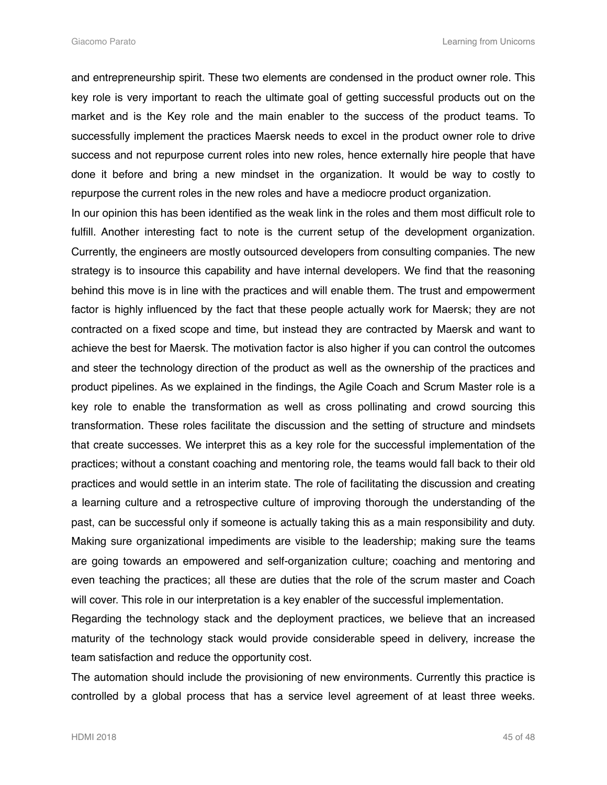and entrepreneurship spirit. These two elements are condensed in the product owner role. This key role is very important to reach the ultimate goal of getting successful products out on the market and is the Key role and the main enabler to the success of the product teams. To successfully implement the practices Maersk needs to excel in the product owner role to drive success and not repurpose current roles into new roles, hence externally hire people that have done it before and bring a new mindset in the organization. It would be way to costly to repurpose the current roles in the new roles and have a mediocre product organization.

In our opinion this has been identified as the weak link in the roles and them most difficult role to fulfill. Another interesting fact to note is the current setup of the development organization. Currently, the engineers are mostly outsourced developers from consulting companies. The new strategy is to insource this capability and have internal developers. We find that the reasoning behind this move is in line with the practices and will enable them. The trust and empowerment factor is highly influenced by the fact that these people actually work for Maersk; they are not contracted on a fixed scope and time, but instead they are contracted by Maersk and want to achieve the best for Maersk. The motivation factor is also higher if you can control the outcomes and steer the technology direction of the product as well as the ownership of the practices and product pipelines. As we explained in the findings, the Agile Coach and Scrum Master role is a key role to enable the transformation as well as cross pollinating and crowd sourcing this transformation. These roles facilitate the discussion and the setting of structure and mindsets that create successes. We interpret this as a key role for the successful implementation of the practices; without a constant coaching and mentoring role, the teams would fall back to their old practices and would settle in an interim state. The role of facilitating the discussion and creating a learning culture and a retrospective culture of improving thorough the understanding of the past, can be successful only if someone is actually taking this as a main responsibility and duty. Making sure organizational impediments are visible to the leadership; making sure the teams are going towards an empowered and self-organization culture; coaching and mentoring and even teaching the practices; all these are duties that the role of the scrum master and Coach will cover. This role in our interpretation is a key enabler of the successful implementation.

Regarding the technology stack and the deployment practices, we believe that an increased maturity of the technology stack would provide considerable speed in delivery, increase the team satisfaction and reduce the opportunity cost.

The automation should include the provisioning of new environments. Currently this practice is controlled by a global process that has a service level agreement of at least three weeks.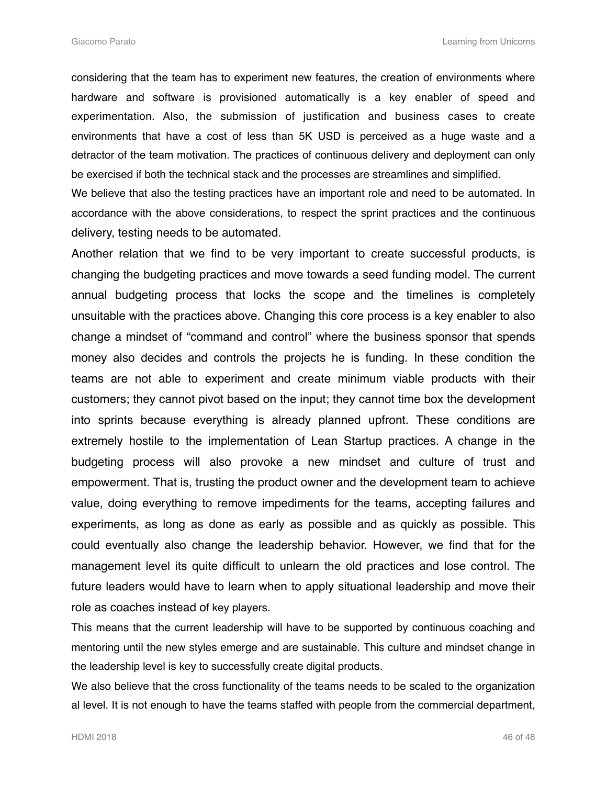considering that the team has to experiment new features, the creation of environments where hardware and software is provisioned automatically is a key enabler of speed and experimentation. Also, the submission of justification and business cases to create environments that have a cost of less than 5K USD is perceived as a huge waste and a detractor of the team motivation. The practices of continuous delivery and deployment can only be exercised if both the technical stack and the processes are streamlines and simplified.

We believe that also the testing practices have an important role and need to be automated. In accordance with the above considerations, to respect the sprint practices and the continuous delivery, testing needs to be automated.

Another relation that we find to be very important to create successful products, is changing the budgeting practices and move towards a seed funding model. The current annual budgeting process that locks the scope and the timelines is completely unsuitable with the practices above. Changing this core process is a key enabler to also change a mindset of "command and control" where the business sponsor that spends money also decides and controls the projects he is funding. In these condition the teams are not able to experiment and create minimum viable products with their customers; they cannot pivot based on the input; they cannot time box the development into sprints because everything is already planned upfront. These conditions are extremely hostile to the implementation of Lean Startup practices. A change in the budgeting process will also provoke a new mindset and culture of trust and empowerment. That is, trusting the product owner and the development team to achieve value, doing everything to remove impediments for the teams, accepting failures and experiments, as long as done as early as possible and as quickly as possible. This could eventually also change the leadership behavior. However, we find that for the management level its quite difficult to unlearn the old practices and lose control. The future leaders would have to learn when to apply situational leadership and move their role as coaches instead of key players.

This means that the current leadership will have to be supported by continuous coaching and mentoring until the new styles emerge and are sustainable. This culture and mindset change in the leadership level is key to successfully create digital products.

We also believe that the cross functionality of the teams needs to be scaled to the organization al level. It is not enough to have the teams staffed with people from the commercial department,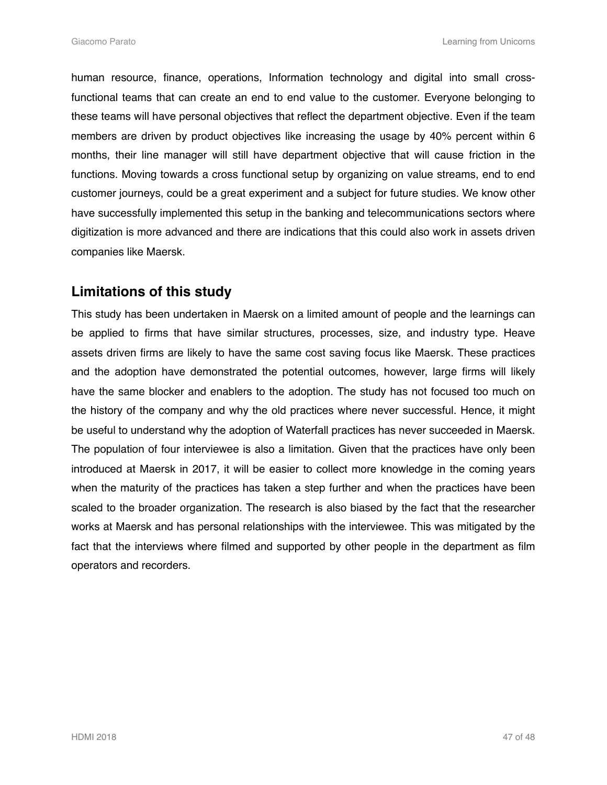human resource, finance, operations, Information technology and digital into small crossfunctional teams that can create an end to end value to the customer. Everyone belonging to these teams will have personal objectives that reflect the department objective. Even if the team members are driven by product objectives like increasing the usage by 40% percent within 6 months, their line manager will still have department objective that will cause friction in the functions. Moving towards a cross functional setup by organizing on value streams, end to end customer journeys, could be a great experiment and a subject for future studies. We know other have successfully implemented this setup in the banking and telecommunications sectors where digitization is more advanced and there are indications that this could also work in assets driven companies like Maersk.

## <span id="page-46-0"></span>**Limitations of this study**

This study has been undertaken in Maersk on a limited amount of people and the learnings can be applied to firms that have similar structures, processes, size, and industry type. Heave assets driven firms are likely to have the same cost saving focus like Maersk. These practices and the adoption have demonstrated the potential outcomes, however, large firms will likely have the same blocker and enablers to the adoption. The study has not focused too much on the history of the company and why the old practices where never successful. Hence, it might be useful to understand why the adoption of Waterfall practices has never succeeded in Maersk. The population of four interviewee is also a limitation. Given that the practices have only been introduced at Maersk in 2017, it will be easier to collect more knowledge in the coming years when the maturity of the practices has taken a step further and when the practices have been scaled to the broader organization. The research is also biased by the fact that the researcher works at Maersk and has personal relationships with the interviewee. This was mitigated by the fact that the interviews where filmed and supported by other people in the department as film operators and recorders.